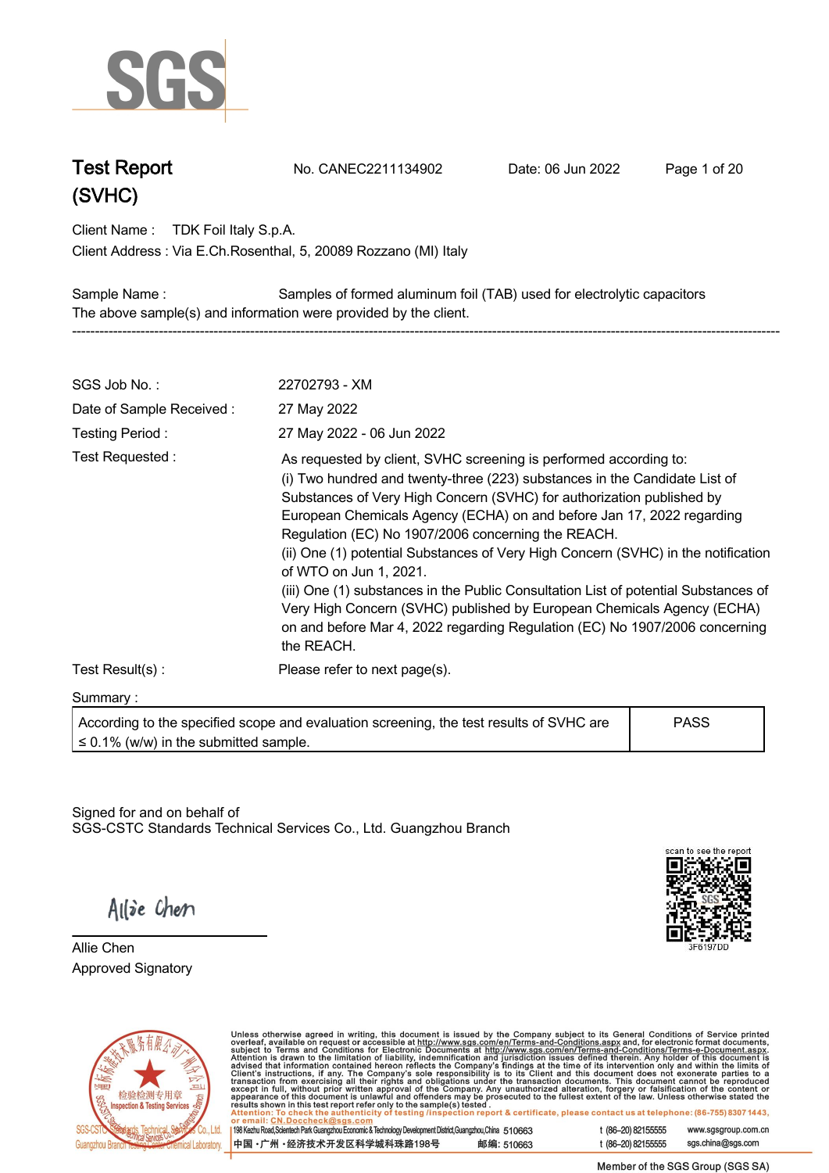

**Test Report. No. CANEC2211134902 . Date: 06 Jun 2022. Page 1 of 20.**

**Client Name : TDK Foil Italy S.p.A. .**

**Via E.Ch.Rosenthal, 5, 20089 Rozzano (MI) Italy . Client Address :**

**Sample Name : Samples of formed aluminum foil (TAB) used for electrolytic capacitors . The above sample(s) and information were provided by the client. -----------------------------------------------------------------------------------------------------------------------------------------------------------**

| SGS Job No.:                                                                                                                                                                                                                                                                                                                                                                                                                                                                                                                                                                                                                                                                                                                                            | 22702793 - XM                                                                           |             |
|---------------------------------------------------------------------------------------------------------------------------------------------------------------------------------------------------------------------------------------------------------------------------------------------------------------------------------------------------------------------------------------------------------------------------------------------------------------------------------------------------------------------------------------------------------------------------------------------------------------------------------------------------------------------------------------------------------------------------------------------------------|-----------------------------------------------------------------------------------------|-------------|
| Date of Sample Received:                                                                                                                                                                                                                                                                                                                                                                                                                                                                                                                                                                                                                                                                                                                                | 27 May 2022                                                                             |             |
| Testing Period:                                                                                                                                                                                                                                                                                                                                                                                                                                                                                                                                                                                                                                                                                                                                         | 27 May 2022 - 06 Jun 2022                                                               |             |
| Test Requested:<br>As requested by client, SVHC screening is performed according to:<br>(i) Two hundred and twenty-three (223) substances in the Candidate List of<br>Substances of Very High Concern (SVHC) for authorization published by<br>European Chemicals Agency (ECHA) on and before Jan 17, 2022 regarding<br>Regulation (EC) No 1907/2006 concerning the REACH.<br>(ii) One (1) potential Substances of Very High Concern (SVHC) in the notification<br>of WTO on Jun 1, 2021.<br>(iii) One (1) substances in the Public Consultation List of potential Substances of<br>Very High Concern (SVHC) published by European Chemicals Agency (ECHA)<br>on and before Mar 4, 2022 regarding Regulation (EC) No 1907/2006 concerning<br>the REACH. |                                                                                         |             |
| Test Result(s):                                                                                                                                                                                                                                                                                                                                                                                                                                                                                                                                                                                                                                                                                                                                         | Please refer to next page(s).                                                           |             |
| Summary:                                                                                                                                                                                                                                                                                                                                                                                                                                                                                                                                                                                                                                                                                                                                                |                                                                                         |             |
| $\leq$ 0.1% (w/w) in the submitted sample.                                                                                                                                                                                                                                                                                                                                                                                                                                                                                                                                                                                                                                                                                                              | According to the specified scope and evaluation screening, the test results of SVHC are | <b>PASS</b> |

Signed for and on behalf of SGS-CSTC Standards Technical Services Co., Ltd. Guangzhou Branch.



Allie Chen

**Allie Chen. Approved Signatory . . .**



Unless otherwise agreed in writing, this document is issued by the Company subject to its General Conditions of Service printed overleaf, available on request or accessible at http://www.sgs.com/en/Terms-and-Conditions.as

198 Kezhu Road, Scientech Park Guangzhou Economic & Technology Development District, Guangzhou, China 510663 中国·广州·经济技术开发区科学城科珠路198号 邮编: 510663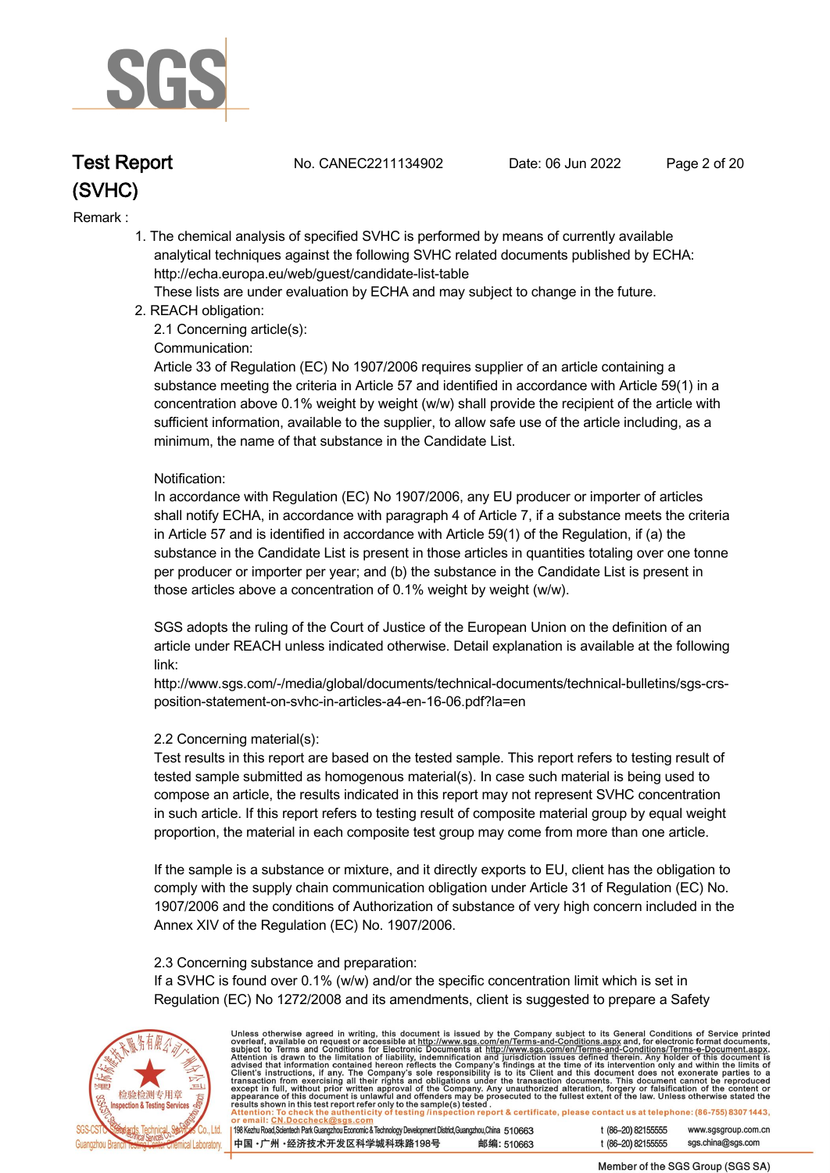

**Test Report. No. CANEC2211134902 . Date: 06 Jun 2022. Page 2 of 20.**

#### **Remark :.**

 **1. The chemical analysis of specified SVHC is performed by means of currently available analytical techniques against the following SVHC related documents published by ECHA: http://echa.europa.eu/web/guest/candidate-list-table** 

 **These lists are under evaluation by ECHA and may subject to change in the future.** 

 **2. REACH obligation:** 

 **2.1 Concerning article(s):** 

#### **Communication:**

 **Article 33 of Regulation (EC) No 1907/2006 requires supplier of an article containing a substance meeting the criteria in Article 57 and identified in accordance with Article 59(1) in a concentration above 0.1% weight by weight (w/w) shall provide the recipient of the article with sufficient information, available to the supplier, to allow safe use of the article including, as a minimum, the name of that substance in the Candidate List.** 

#### **Notification:**

 **In accordance with Regulation (EC) No 1907/2006, any EU producer or importer of articles shall notify ECHA, in accordance with paragraph 4 of Article 7, if a substance meets the criteria in Article 57 and is identified in accordance with Article 59(1) of the Regulation, if (a) the substance in the Candidate List is present in those articles in quantities totaling over one tonne per producer or importer per year; and (b) the substance in the Candidate List is present in those articles above a concentration of 0.1% weight by weight (w/w).** 

 **SGS adopts the ruling of the Court of Justice of the European Union on the definition of an article under REACH unless indicated otherwise. Detail explanation is available at the following link:** 

 **http://www.sgs.com/-/media/global/documents/technical-documents/technical-bulletins/sgs-crs position-statement-on-svhc-in-articles-a4-en-16-06.pdf?la=en** 

#### **2.2 Concerning material(s):**

 **Test results in this report are based on the tested sample. This report refers to testing result of tested sample submitted as homogenous material(s). In case such material is being used to compose an article, the results indicated in this report may not represent SVHC concentration in such article. If this report refers to testing result of composite material group by equal weight proportion, the material in each composite test group may come from more than one article.** 

 **If the sample is a substance or mixture, and it directly exports to EU, client has the obligation to comply with the supply chain communication obligation under Article 31 of Regulation (EC) No. 1907/2006 and the conditions of Authorization of substance of very high concern included in the Annex XIV of the Regulation (EC) No. 1907/2006.** 

#### **2.3 Concerning substance and preparation:**

 **If a SVHC is found over 0.1% (w/w) and/or the specific concentration limit which is set in Regulation (EC) No 1272/2008 and its amendments, client is suggested to prepare a Safety** 



Unless otherwise agreed in writing, this document is issued by the Company subject to its General Conditions of Service printed<br>overleaf, available on request or accessible at http://www.sgs.com/en/Terms-and-Conditions.as

198 Kezhu Road, Scientech Park Guangzhou Economic & Technology Development District, Guangzhou, China 510663 中国·广州·经济技术开发区科学城科珠路198号 邮编: 510663 t (86-20) 82155555 www.sgsgroup.com.cn t (86-20) 82155555 sas.china@sas.com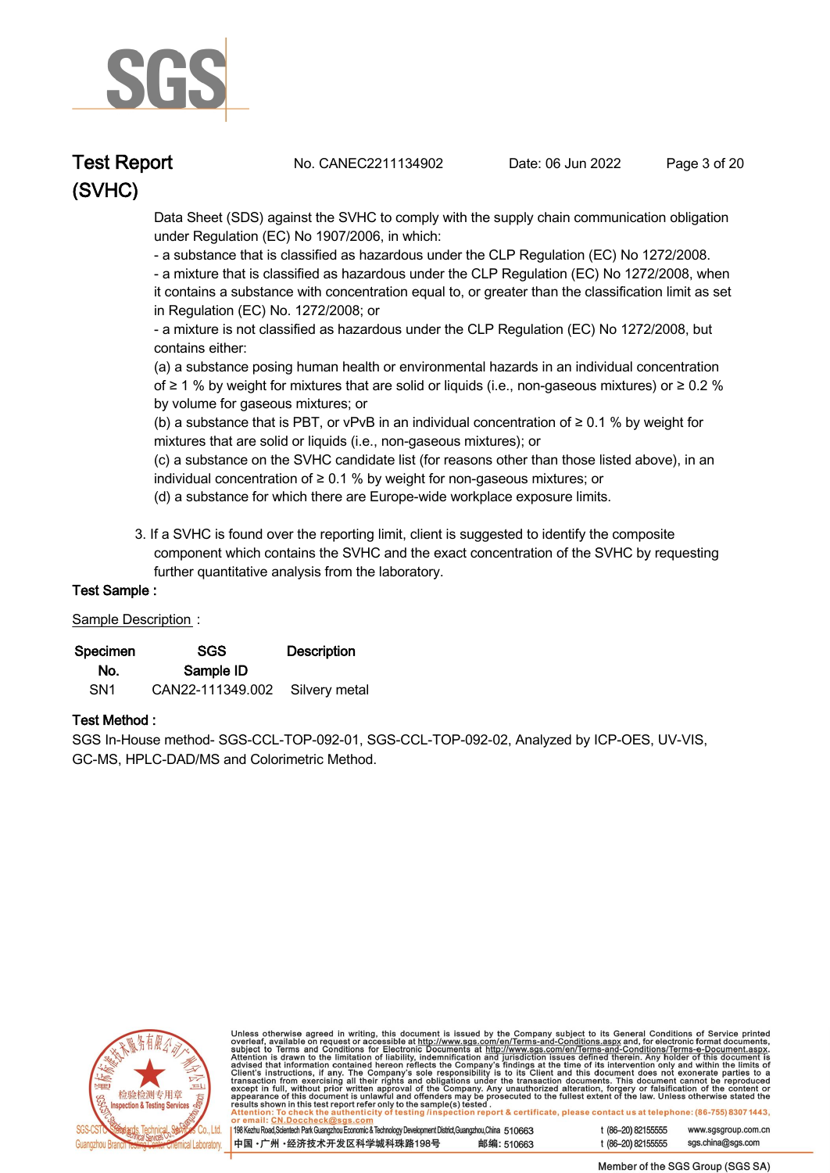

**Test Report. No. CANEC2211134902 . Date: 06 Jun 2022. Page 3 of 20.**

 **Data Sheet (SDS) against the SVHC to comply with the supply chain communication obligation under Regulation (EC) No 1907/2006, in which:** 

 **- a substance that is classified as hazardous under the CLP Regulation (EC) No 1272/2008.** 

 **- a mixture that is classified as hazardous under the CLP Regulation (EC) No 1272/2008, when it contains a substance with concentration equal to, or greater than the classification limit as set in Regulation (EC) No. 1272/2008; or** 

 **- a mixture is not classified as hazardous under the CLP Regulation (EC) No 1272/2008, but contains either:** 

 **(a) a substance posing human health or environmental hazards in an individual concentration of ≥ 1 % by weight for mixtures that are solid or liquids (i.e., non-gaseous mixtures) or ≥ 0.2 % by volume for gaseous mixtures; or** 

 **(b) a substance that is PBT, or vPvB in an individual concentration of ≥ 0.1 % by weight for mixtures that are solid or liquids (i.e., non-gaseous mixtures); or** 

 **(c) a substance on the SVHC candidate list (for reasons other than those listed above), in an individual concentration of ≥ 0.1 % by weight for non-gaseous mixtures; or** 

- **(d) a substance for which there are Europe-wide workplace exposure limits.**
- **3. If a SVHC is found over the reporting limit, client is suggested to identify the composite component which contains the SVHC and the exact concentration of the SVHC by requesting further quantitative analysis from the laboratory.**

#### **Test Sample :.**

#### **Sample Description :.**

| Specimen        | SGS                            | <b>Description</b> |  |
|-----------------|--------------------------------|--------------------|--|
| No.             | Sample ID                      |                    |  |
| SN <sub>1</sub> | CAN22-111349.002 Silvery metal |                    |  |

#### **Test Method :.**

**SGS In-House method- SGS-CCL-TOP-092-01, SGS-CCL-TOP-092-02, Analyzed by ICP-OES, UV-VIS, GC-MS, HPLC-DAD/MS and Colorimetric Method. .**



Unless otherwise agreed in writing, this document is issued by the Company subject to its General Conditions of Service printed<br>overleaf, available on request or accessible at <u>http://www.sgs.com/en/Terms-and-Conditions.a</u>

| 198 Kezhu Road,Scientech Park Guangzhou Economic & Technology Development District,Guangzhou,China 510663 |            |
|-----------------------------------------------------------------------------------------------------------|------------|
| ┃中国 •广州 •经济技术开发区科学城科珠路198号                                                                                | 邮编: 510663 |

t (86-20) 82155555 www.sgsgroup.com.cn t (86-20) 82155555 sas.china@sas.com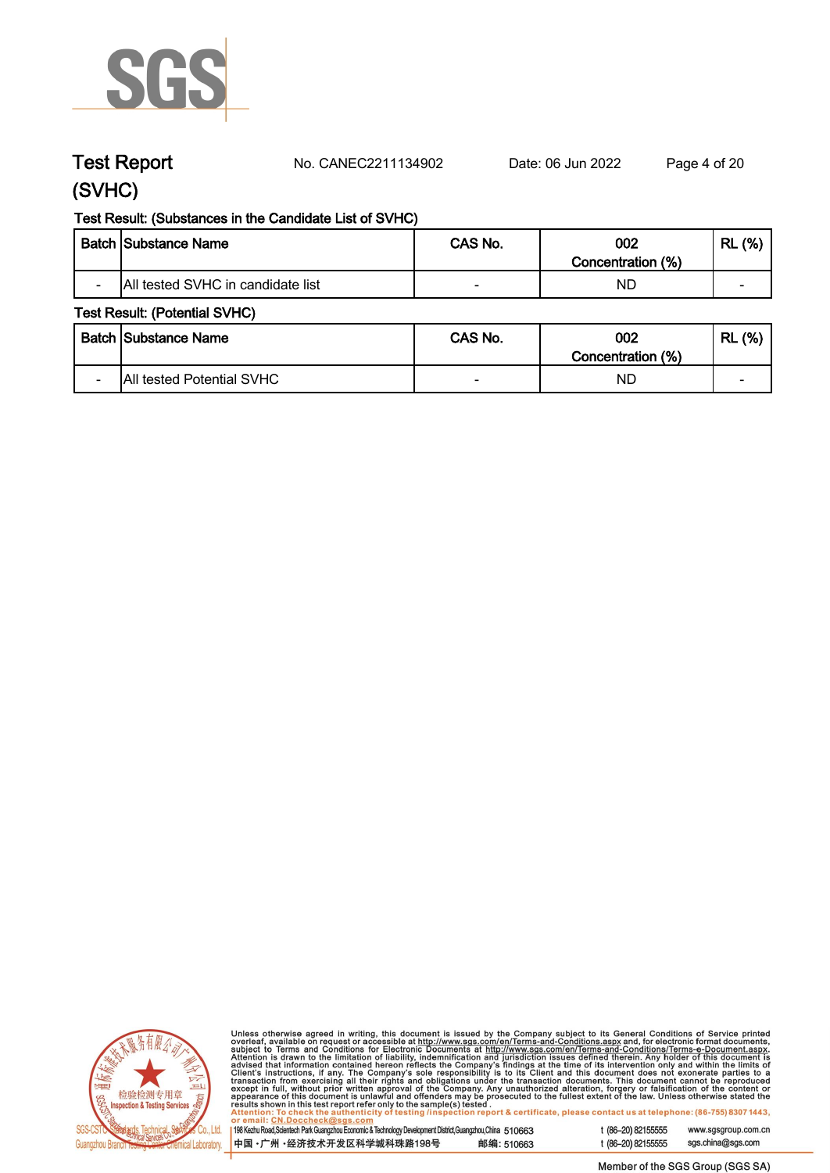

**Test Report. No. CANEC2211134902 . Date: 06 Jun 2022. Page 4 of 20.**

### **(SVHC)**

#### **Test Result: (Substances in the Candidate List of SVHC)**

|                          | <b>Batch Substance Name</b>       | CAS No. | 002<br>Concentration (%) | (%)<br><b>RL</b>         |
|--------------------------|-----------------------------------|---------|--------------------------|--------------------------|
| $\overline{\phantom{0}}$ | All tested SVHC in candidate list |         | ND                       | $\overline{\phantom{0}}$ |

#### **Test Result: (Potential SVHC)**

|                          | Batch Substance Name      | CAS No. | 002<br>Concentration (%) | (%)<br><b>RL</b>         |
|--------------------------|---------------------------|---------|--------------------------|--------------------------|
| $\overline{\phantom{0}}$ | All tested Potential SVHC |         | ND                       | $\overline{\phantom{0}}$ |



Unless otherwise agreed in writing, this document is issued by the Company subject to its General Conditions of Service printed<br>overleaf, available on request or accessible at http://www.sgs.com/en/Terms-and-Conditions.as

| <u>UI CIIIAII. UN.DUCCIICCRIWSUS.COIII</u>                                                                |            |
|-----------------------------------------------------------------------------------------------------------|------------|
|                                                                                                           |            |
| 198 Kezhu Road,Scientech Park Guangzhou Economic & Technology Development District,Guangzhou,China 510663 |            |
|                                                                                                           |            |
| 中国 •广州 •经济技术开发区科学城科珠路198号                                                                                 | 邮编: 510663 |
|                                                                                                           |            |
|                                                                                                           |            |

sgs.china@sgs.com t (86-20) 82155555

www.sgsgroup.com.cn

t (86-20) 82155555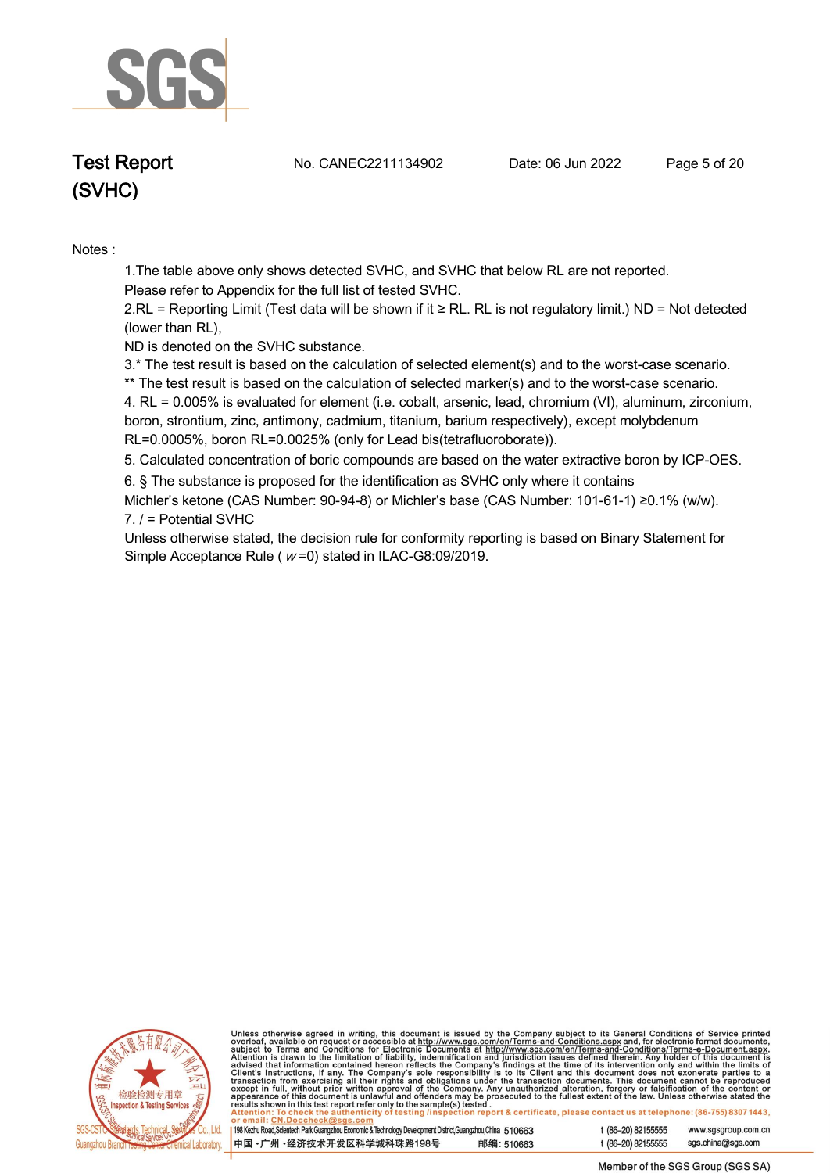

**Test Report. No. CANEC2211134902 . Date: 06 Jun 2022. Page 5 of 20.**

**Notes :.**

**1.The table above only shows detected SVHC, and SVHC that below RL are not reported.** 

**Please refer to Appendix for the full list of tested SVHC.**

**2.RL = Reporting Limit (Test data will be shown if it ≥ RL. RL is not regulatory limit.) ND = Not detected (lower than RL),** 

**ND is denoted on the SVHC substance.**

**3.\* The test result is based on the calculation of selected element(s) and to the worst-case scenario.** 

**\*\* The test result is based on the calculation of selected marker(s) and to the worst-case scenario.** 

**4. RL = 0.005% is evaluated for element (i.e. cobalt, arsenic, lead, chromium (VI), aluminum, zirconium, boron, strontium, zinc, antimony, cadmium, titanium, barium respectively), except molybdenum RL=0.0005%, boron RL=0.0025% (only for Lead bis(tetrafluoroborate)). .**

**5. Calculated concentration of boric compounds are based on the water extractive boron by ICP-OES. .**

**6. § The substance is proposed for the identification as SVHC only where it contains** 

**Michler's ketone (CAS Number: 90-94-8) or Michler's base (CAS Number: 101-61-1) ≥0.1% (w/w). 7. / = Potential SVHC .**

**Unless otherwise stated, the decision rule for conformity reporting is based on Binary Statement for Simple Acceptance Rule ( <sup>w</sup> =0) stated in ILAC-G8:09/2019. .**



Unless otherwise agreed in writing, this document is issued by the Company subject to its General Conditions of Service printed<br>overleaf, available on request or accessible at http://www.sgs.com/en/Terms-and-Conditions.as

| 198 Kezhu Road, Scientech Park Guangzhou Economic & Technology Development District, Guangzhou, China 510663 |            |
|--------------------------------------------------------------------------------------------------------------|------------|
| 中国 •广州 •经济技术开发区科学城科珠路198号                                                                                    | 邮编: 510663 |

t (86-20) 82155555 www.sgsgroup.com.cn t (86-20) 82155555 sas.china@sas.com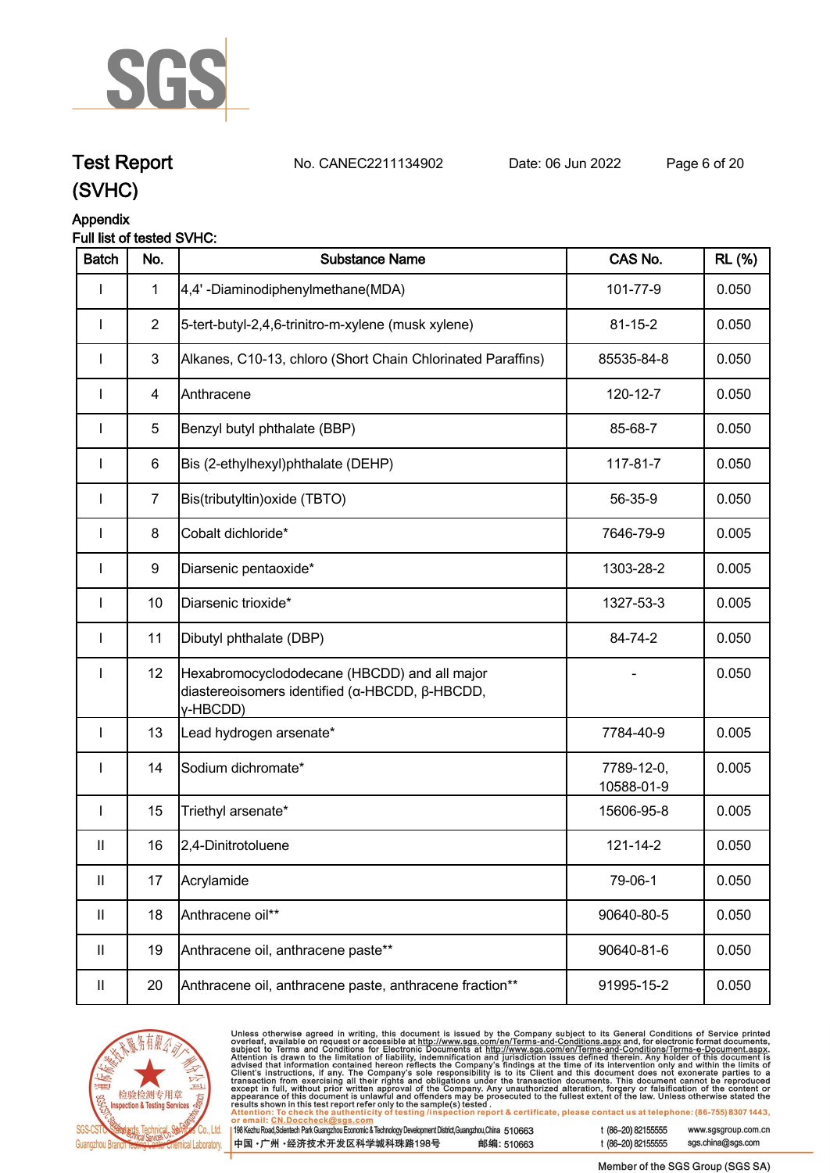

**Test Report. No. CANEC2211134902 . Date: 06 Jun 2022. Page 6 of 20.**

## **(SVHC)**

### **Appendix**

| Full list of tested SVHC: |
|---------------------------|
|---------------------------|

| <b>Batch</b>  | No.            | <b>Substance Name</b>                                                                                      | CAS No.                  | <b>RL</b> (%) |
|---------------|----------------|------------------------------------------------------------------------------------------------------------|--------------------------|---------------|
| L             | $\mathbf{1}$   | 4,4'-Diaminodiphenylmethane(MDA)                                                                           | 101-77-9                 | 0.050         |
| I             | $\overline{2}$ | 5-tert-butyl-2,4,6-trinitro-m-xylene (musk xylene)                                                         | $81 - 15 - 2$            | 0.050         |
| $\mathbf{I}$  | $\mathbf{3}$   | Alkanes, C10-13, chloro (Short Chain Chlorinated Paraffins)                                                | 85535-84-8               | 0.050         |
| <b>I</b>      | $\overline{4}$ | Anthracene                                                                                                 | 120-12-7                 | 0.050         |
|               | 5              | Benzyl butyl phthalate (BBP)                                                                               | 85-68-7                  | 0.050         |
|               | 6              | Bis (2-ethylhexyl)phthalate (DEHP)                                                                         | 117-81-7                 | 0.050         |
| L             | $\overline{7}$ | Bis(tributyltin) oxide (TBTO)                                                                              | 56-35-9                  | 0.050         |
| I             | 8              | Cobalt dichloride*                                                                                         | 7646-79-9                | 0.005         |
| $\mathbf{I}$  | 9              | Diarsenic pentaoxide*                                                                                      | 1303-28-2                | 0.005         |
| $\mathbf{I}$  | 10             | Diarsenic trioxide*                                                                                        | 1327-53-3                | 0.005         |
| I             | 11             | Dibutyl phthalate (DBP)                                                                                    | 84-74-2                  | 0.050         |
| $\mathbf{I}$  | 12             | Hexabromocyclododecane (HBCDD) and all major<br>diastereoisomers identified (α-HBCDD, β-HBCDD,<br>Y-HBCDD) |                          | 0.050         |
| $\mathbf{I}$  | 13             | Lead hydrogen arsenate*                                                                                    | 7784-40-9                | 0.005         |
| $\mathbf{I}$  | 14             | Sodium dichromate*                                                                                         | 7789-12-0,<br>10588-01-9 | 0.005         |
| $\mathbf{I}$  | 15             | Triethyl arsenate*                                                                                         | 15606-95-8               | 0.005         |
| $\mathbf{II}$ | 16             | 2,4-Dinitrotoluene                                                                                         | 121-14-2                 | 0.050         |
| Ш.            | 17             | Acrylamide                                                                                                 | 79-06-1                  | 0.050         |
| Ш             | 18             | Anthracene oil**                                                                                           | 90640-80-5               | 0.050         |
| Ш             | 19             | Anthracene oil, anthracene paste**                                                                         | 90640-81-6               | 0.050         |
| Ш             | 20             | Anthracene oil, anthracene paste, anthracene fraction**                                                    | 91995-15-2               | 0.050         |



Unless otherwise agreed in writing, this document is issued by the Company subject to its General Conditions of Service printed overleaf, available on request or accessible at http://www.sgs.com/en/Terms-and-Conditions.as  $\overline{119}$ 

| 8 Kezhu Road,Scientech Park Guangzhou Economic & Technology Development District,Guangzhou,China 510663 |            |
|---------------------------------------------------------------------------------------------------------|------------|
| □国 •广州 •经济技术开发区科学城科珠路198号 ↓                                                                             | 邮编: 510663 |

t (86-20) 82155555 www.sgsgroup.com.cn sgs.china@sgs.com t (86-20) 82155555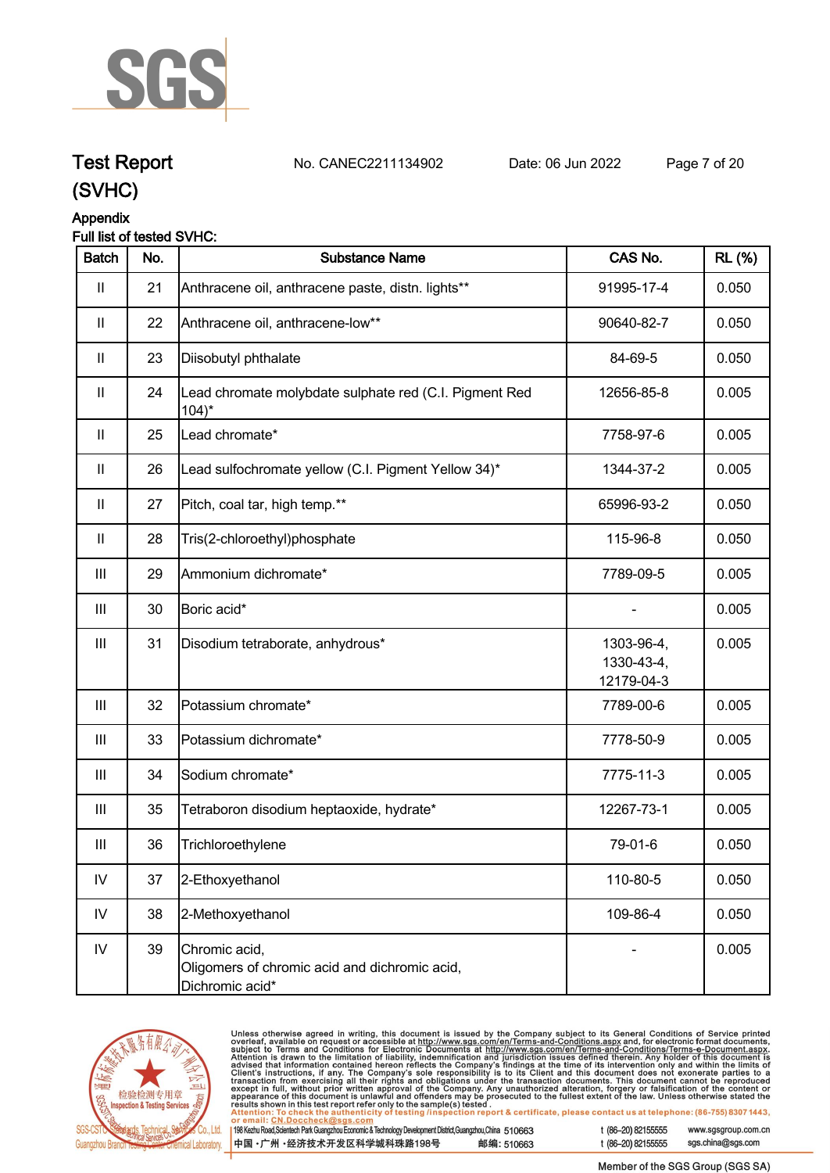

## **Test Report. No. CANEC2211134902 . Date: 06 Jun 2022. Page 7 of 20.**

**(SVHC)**

## **Appendix**

### **Full list of tested SVHC:**

| <b>Batch</b>       | No. | <b>Substance Name</b>                                                             | CAS No.                                | <b>RL</b> (%) |
|--------------------|-----|-----------------------------------------------------------------------------------|----------------------------------------|---------------|
| $\mathbf{II}$      | 21  | Anthracene oil, anthracene paste, distn. lights**                                 | 91995-17-4                             | 0.050         |
| $\mathbf{II}$      | 22  | Anthracene oil, anthracene-low**                                                  | 90640-82-7                             | 0.050         |
| $\mathbf{II}$      | 23  | Diisobutyl phthalate                                                              | 84-69-5                                | 0.050         |
| $\mathbf{II}$      | 24  | Lead chromate molybdate sulphate red (C.I. Pigment Red<br>$104$ <sup>*</sup>      | 12656-85-8                             | 0.005         |
| $\mathbf{II}$      | 25  | Lead chromate*                                                                    | 7758-97-6                              | 0.005         |
| $\mathbf{II}$      | 26  | Lead sulfochromate yellow (C.I. Pigment Yellow 34)*                               | 1344-37-2                              | 0.005         |
| $\mathbf{II}$      | 27  | Pitch, coal tar, high temp.**                                                     | 65996-93-2                             | 0.050         |
| $\mathbf{II}$      | 28  | Tris(2-chloroethyl)phosphate                                                      | 115-96-8                               | 0.050         |
| $\mathbf{III}$     | 29  | Ammonium dichromate*                                                              | 7789-09-5                              | 0.005         |
| $\mathbf{III}$     | 30  | Boric acid*                                                                       |                                        | 0.005         |
| $\  \ $            | 31  | Disodium tetraborate, anhydrous*                                                  | 1303-96-4,<br>1330-43-4,<br>12179-04-3 | 0.005         |
| Ш                  | 32  | Potassium chromate*                                                               | 7789-00-6                              | 0.005         |
| $\mathop{\rm III}$ | 33  | Potassium dichromate*                                                             | 7778-50-9                              | 0.005         |
| $\mathbf{III}$     | 34  | Sodium chromate*                                                                  | 7775-11-3                              | 0.005         |
| $\mathbf{III}$     | 35  | Tetraboron disodium heptaoxide, hydrate*                                          | 12267-73-1                             | 0.005         |
| Ш                  | 36  | Trichloroethylene                                                                 | 79-01-6                                | 0.050         |
| ${\sf IV}$         | 37  | 2-Ethoxyethanol                                                                   | 110-80-5                               | 0.050         |
| IV                 | 38  | 2-Methoxyethanol                                                                  | 109-86-4                               | 0.050         |
| ${\sf IV}$         | 39  | Chromic acid,<br>Oligomers of chromic acid and dichromic acid,<br>Dichromic acid* |                                        | 0.005         |



Unless otherwise agreed in writing, this document is issued by the Company subject to its General Conditions of Service printed<br>overleaf, available on request or accessible at <u>http://www.sgs.com/en/Terms-and-Conditions.a</u>

| 198 Kezhu Road,Scientech Park Guangzhou Economic & Technology Development District,Guangzhou,China 510663 |            |
|-----------------------------------------------------------------------------------------------------------|------------|
| 中国 •广州 •经济技术开发区科学城科珠路198号                                                                                 | 邮编: 510663 |

t (86-20) 82155555 www.sgsgroup.com.cn sgs.china@sgs.com t (86-20) 82155555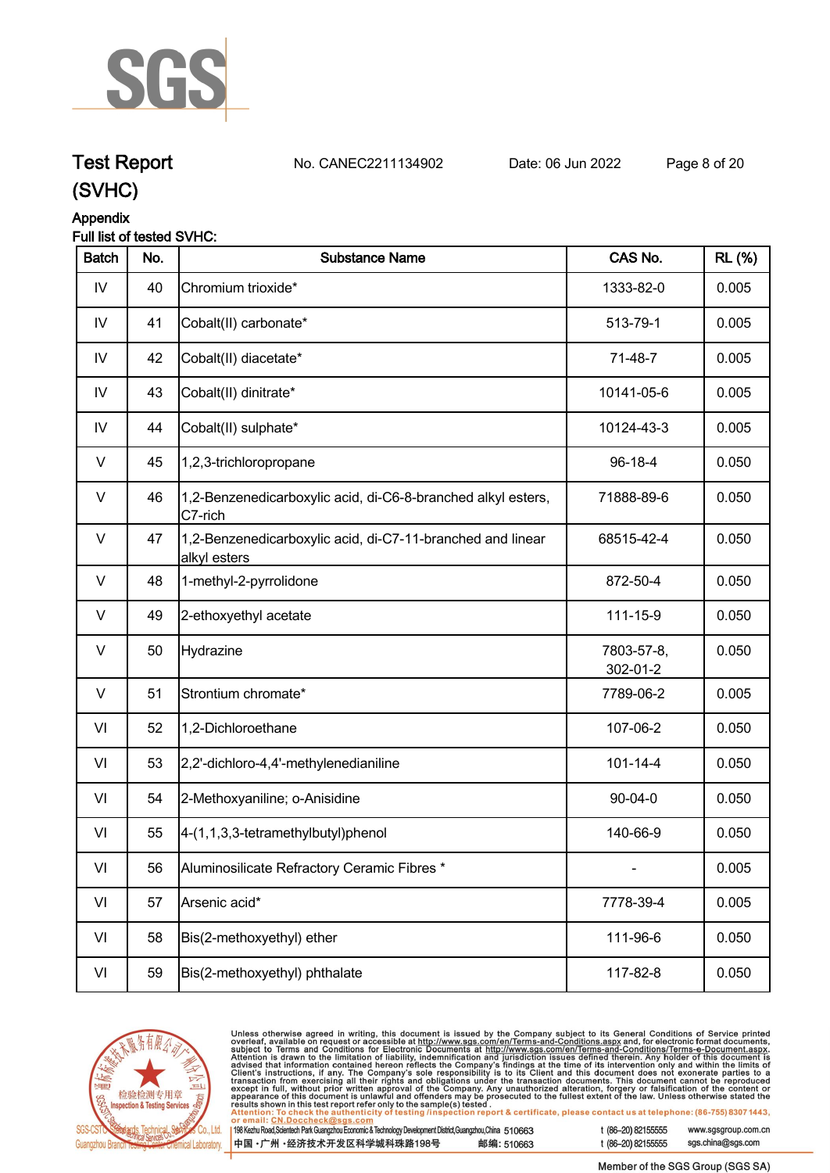

## **Test Report. No. CANEC2211134902 . Date: 06 Jun 2022. Page 8 of 20.**

**(SVHC)**

#### **Appendix**

#### **Full list of tested SVHC:**

| <b>Batch</b> | No. | <b>Substance Name</b>                                                      | CAS No.                | <b>RL</b> (%) |
|--------------|-----|----------------------------------------------------------------------------|------------------------|---------------|
| IV           | 40  | Chromium trioxide*                                                         | 1333-82-0              | 0.005         |
| IV           | 41  | Cobalt(II) carbonate*                                                      | 513-79-1               | 0.005         |
| IV           | 42  | Cobalt(II) diacetate*                                                      | 71-48-7                | 0.005         |
| IV           | 43  | Cobalt(II) dinitrate*                                                      | 10141-05-6             | 0.005         |
| IV           | 44  | Cobalt(II) sulphate*                                                       | 10124-43-3             | 0.005         |
| $\vee$       | 45  | 1,2,3-trichloropropane                                                     | 96-18-4                | 0.050         |
| V            | 46  | 1,2-Benzenedicarboxylic acid, di-C6-8-branched alkyl esters,<br>C7-rich    | 71888-89-6             | 0.050         |
| V            | 47  | 1,2-Benzenedicarboxylic acid, di-C7-11-branched and linear<br>alkyl esters | 68515-42-4             | 0.050         |
| V            | 48  | 1-methyl-2-pyrrolidone                                                     | 872-50-4               | 0.050         |
| V            | 49  | 2-ethoxyethyl acetate                                                      | 111-15-9               | 0.050         |
| $\vee$       | 50  | Hydrazine                                                                  | 7803-57-8,<br>302-01-2 | 0.050         |
| $\vee$       | 51  | Strontium chromate*                                                        | 7789-06-2              | 0.005         |
| VI           | 52  | 1,2-Dichloroethane                                                         | 107-06-2               | 0.050         |
| VI           | 53  | 2,2'-dichloro-4,4'-methylenedianiline                                      | $101 - 14 - 4$         | 0.050         |
| VI           | 54  | 2-Methoxyaniline; o-Anisidine                                              | $90 - 04 - 0$          | 0.050         |
| VI           | 55  | 4-(1,1,3,3-tetramethylbutyl)phenol                                         | 140-66-9               | 0.050         |
| VI           | 56  | Aluminosilicate Refractory Ceramic Fibres *                                |                        | 0.005         |
| VI           | 57  | Arsenic acid*                                                              | 7778-39-4              | 0.005         |
| VI           | 58  | Bis(2-methoxyethyl) ether                                                  | 111-96-6               | 0.050         |
| VI           | 59  | Bis(2-methoxyethyl) phthalate                                              | 117-82-8               | 0.050         |
|              |     |                                                                            |                        |               |



Unless otherwise agreed in writing, this document is issued by the Company subject to its General Conditions of Service printed<br>overleaf, available on request or accessible at <u>http://www.sgs.com/en/Terms-and-Conditions.a</u>

| 98 Kezhu Road,Scientech Park Guangzhou Economic & Technology Development District,Guangzhou,China 510663 |            |
|----------------------------------------------------------------------------------------------------------|------------|
| 中国 •广州 •经济技术开发区科学城科珠路198号 »                                                                              | 邮编: 510663 |

sgs.china@sgs.com t (86-20) 82155555

www.sgsgroup.com.cn

Member of the SGS Group (SGS SA)

t (86-20) 82155555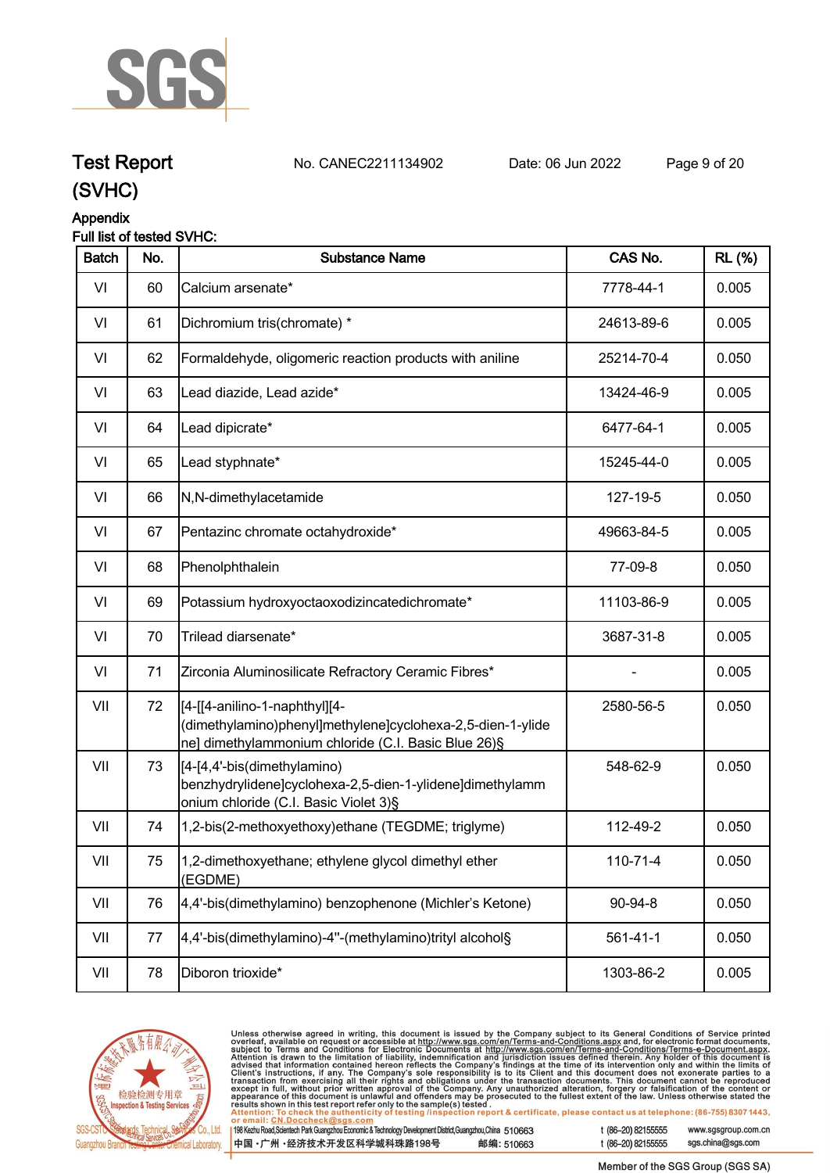

## **Test Report. No. CANEC2211134902 . Date: 06 Jun 2022. Page 9 of 20.**

**(SVHC)**

### **Appendix**

#### **Full list of tested SVHC:**

| <b>Batch</b> | No. | <b>Substance Name</b>                                                                                                                               | CAS No.        | <b>RL</b> (%) |
|--------------|-----|-----------------------------------------------------------------------------------------------------------------------------------------------------|----------------|---------------|
| VI           | 60  | Calcium arsenate*                                                                                                                                   | 7778-44-1      | 0.005         |
| VI           | 61  | Dichromium tris(chromate) *                                                                                                                         | 24613-89-6     | 0.005         |
| VI           | 62  | Formaldehyde, oligomeric reaction products with aniline                                                                                             | 25214-70-4     | 0.050         |
| VI           | 63  | Lead diazide, Lead azide*                                                                                                                           | 13424-46-9     | 0.005         |
| VI           | 64  | Lead dipicrate*                                                                                                                                     | 6477-64-1      | 0.005         |
| VI           | 65  | Lead styphnate*                                                                                                                                     | 15245-44-0     | 0.005         |
| VI           | 66  | N,N-dimethylacetamide                                                                                                                               | 127-19-5       | 0.050         |
| VI           | 67  | Pentazinc chromate octahydroxide*                                                                                                                   | 49663-84-5     | 0.005         |
| VI           | 68  | Phenolphthalein                                                                                                                                     | 77-09-8        | 0.050         |
| VI           | 69  | Potassium hydroxyoctaoxodizincatedichromate*                                                                                                        | 11103-86-9     | 0.005         |
| VI           | 70  | Trilead diarsenate*                                                                                                                                 | 3687-31-8      | 0.005         |
| VI           | 71  | Zirconia Aluminosilicate Refractory Ceramic Fibres*                                                                                                 |                | 0.005         |
| VII          | 72  | [[4-[[4-anilino-1-naphthyl][4-<br>(dimethylamino)phenyl]methylene]cyclohexa-2,5-dien-1-ylide<br>ne] dimethylammonium chloride (C.I. Basic Blue 26)§ | 2580-56-5      | 0.050         |
| VII          | 73  | [[4-[4,4'-bis(dimethylamino)<br>benzhydrylidene]cyclohexa-2,5-dien-1-ylidene]dimethylamm<br>onium chloride (C.I. Basic Violet 3)§                   | 548-62-9       | 0.050         |
| VII          | 74  | 1,2-bis(2-methoxyethoxy)ethane (TEGDME; triglyme)                                                                                                   | 112-49-2       | 0.050         |
| VII          | 75  | 1,2-dimethoxyethane; ethylene glycol dimethyl ether<br>(EGDME)                                                                                      | 110-71-4       | 0.050         |
| VII          | 76  | 4,4'-bis(dimethylamino) benzophenone (Michler's Ketone)                                                                                             | 90-94-8        | 0.050         |
| VII          | 77  | 4,4'-bis(dimethylamino)-4"-(methylamino)trityl alcohol§                                                                                             | $561 - 41 - 1$ | 0.050         |
| VII          | 78  | Diboron trioxide*                                                                                                                                   | 1303-86-2      | 0.005         |



Unless otherwise agreed in writing, this document is issued by the Company subject to its General Conditions of Service printed<br>overleaf, available on request or accessible at http://www.sgs.com/en/Terms-and-Conditions.as

| 8 Kezhu Road,Scientech Park Guangzhou Economic & Technology Development District,Guangzhou,China 510663 |            |  |
|---------------------------------------------------------------------------------------------------------|------------|--|
| Þ国 •广州 •经济技术开发区科学城科珠路198号 ↓                                                                             | 邮编: 510663 |  |

t (86-20) 82155555 www.sgsgroup.com.cn t (86-20) 82155555 sgs.china@sgs.com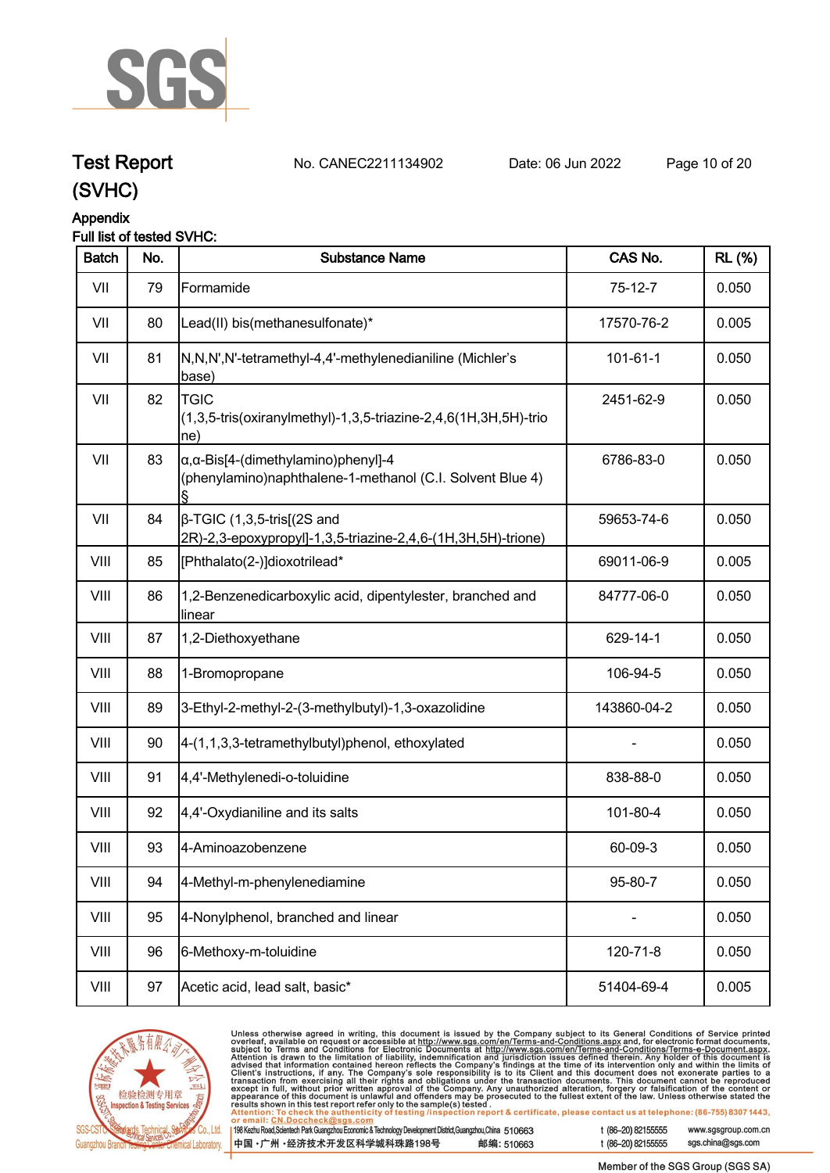

**Test Report. No. CANEC2211134902 . Date: 06 Jun 2022. Page 10 of 20.**

### **Appendix**

#### **Full list of tested SVHC:**

| <b>Batch</b> | No. | <b>Substance Name</b>                                                                                            | CAS No.        | <b>RL</b> (%) |
|--------------|-----|------------------------------------------------------------------------------------------------------------------|----------------|---------------|
| VII          | 79  | Formamide                                                                                                        | $75-12-7$      | 0.050         |
| VII          | 80  | Lead(II) bis(methanesulfonate)*                                                                                  | 17570-76-2     | 0.005         |
| VII          | 81  | N,N,N',N'-tetramethyl-4,4'-methylenedianiline (Michler's<br>base)                                                | $101 - 61 - 1$ | 0.050         |
| VII          | 82  | <b>TGIC</b><br>(1,3,5-tris(oxiranylmethyl)-1,3,5-triazine-2,4,6(1H,3H,5H)-trio<br>ne)                            | 2451-62-9      | 0.050         |
| VII          | 83  | $\alpha$ , $\alpha$ -Bis[4-(dimethylamino)phenyl]-4<br>(phenylamino)naphthalene-1-methanol (C.I. Solvent Blue 4) | 6786-83-0      | 0.050         |
| VII          | 84  | $\beta$ -TGIC (1,3,5-tris[(2S and<br>2R)-2,3-epoxypropyl]-1,3,5-triazine-2,4,6-(1H,3H,5H)-trione)                | 59653-74-6     | 0.050         |
| VIII         | 85  | [Phthalato(2-)]dioxotrilead*                                                                                     | 69011-06-9     | 0.005         |
| VIII         | 86  | 1,2-Benzenedicarboxylic acid, dipentylester, branched and<br>linear                                              | 84777-06-0     | 0.050         |
| VIII         | 87  | 1,2-Diethoxyethane                                                                                               | 629-14-1       | 0.050         |
| VIII         | 88  | 1-Bromopropane                                                                                                   | 106-94-5       | 0.050         |
| VIII         | 89  | 3-Ethyl-2-methyl-2-(3-methylbutyl)-1,3-oxazolidine                                                               | 143860-04-2    | 0.050         |
| VIII         | 90  | 4-(1,1,3,3-tetramethylbutyl)phenol, ethoxylated                                                                  |                | 0.050         |
| VIII         | 91  | 4,4'-Methylenedi-o-toluidine                                                                                     | 838-88-0       | 0.050         |
| VIII         | 92  | 4,4'-Oxydianiline and its salts                                                                                  | 101-80-4       | 0.050         |
| VIII         | 93  | 4-Aminoazobenzene                                                                                                | 60-09-3        | 0.050         |
| VIII         | 94  | 4-Methyl-m-phenylenediamine                                                                                      | 95-80-7        | 0.050         |
| VIII         | 95  | 4-Nonylphenol, branched and linear                                                                               |                | 0.050         |
| VIII         | 96  | 6-Methoxy-m-toluidine                                                                                            | 120-71-8       | 0.050         |
| VIII         | 97  | Acetic acid, lead salt, basic*                                                                                   | 51404-69-4     | 0.005         |
|              |     |                                                                                                                  |                |               |



Unless otherwise agreed in writing, this document is issued by the Company subject to its General Conditions of Service printed<br>overleaf, available on request or accessible at http://www.sgs.com/en/Terms-and-Conditions.as

| 1998 Kezhu Road,Scientech Park Guangzhou Economic & Technology Development District,Guangzhou,China 510663 |            |
|------------------------------------------------------------------------------------------------------------|------------|
| 【中国 •广州 •经济技术开发区科学城科珠路198号                                                                                 | 邮编: 510663 |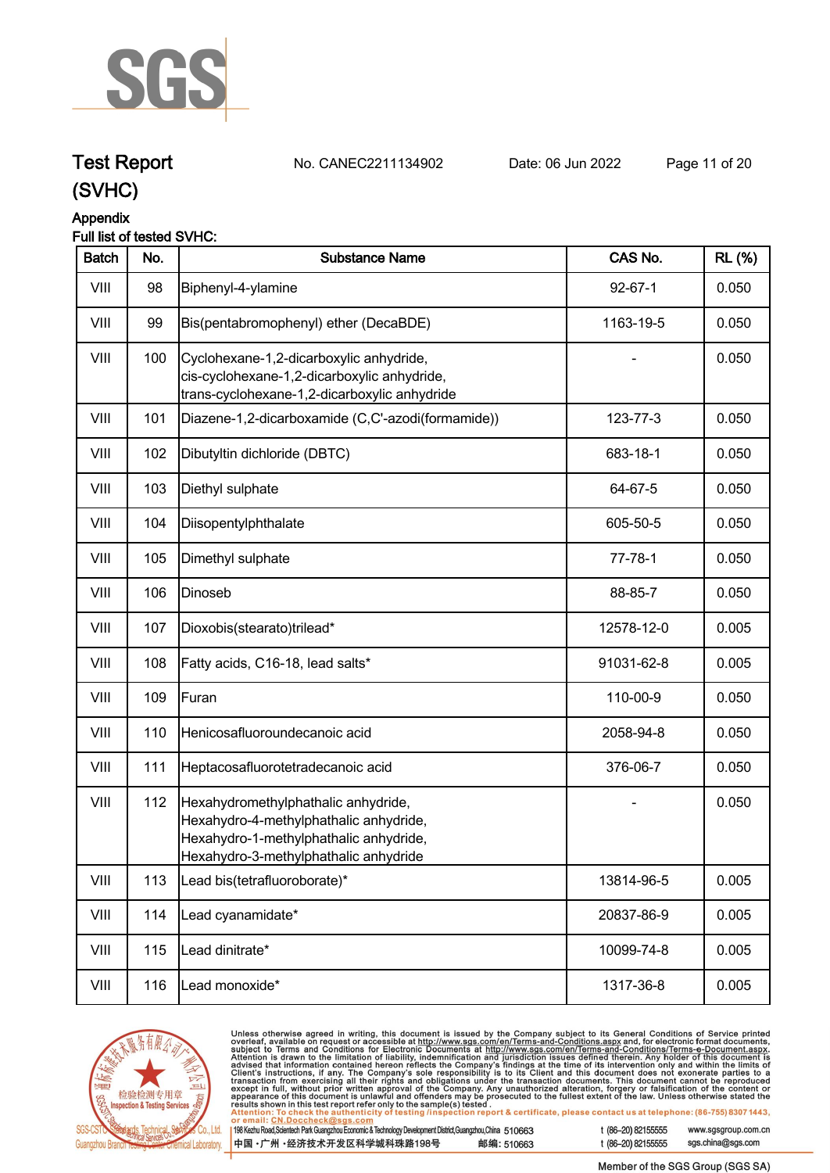

## **Test Report. No. CANEC2211134902 . Date: 06 Jun 2022. Page 11 of 20.**

### **(SVHC)**

### **Appendix**

#### **Full list of tested SVHC:**

| <b>Batch</b> | No. | <b>Substance Name</b>                                                                                                                                            | CAS No.       | <b>RL</b> (%) |
|--------------|-----|------------------------------------------------------------------------------------------------------------------------------------------------------------------|---------------|---------------|
| VIII         | 98  | Biphenyl-4-ylamine                                                                                                                                               | $92 - 67 - 1$ | 0.050         |
| VIII         | 99  | Bis(pentabromophenyl) ether (DecaBDE)                                                                                                                            | 1163-19-5     | 0.050         |
| VIII         | 100 | Cyclohexane-1,2-dicarboxylic anhydride,<br>cis-cyclohexane-1,2-dicarboxylic anhydride,<br>trans-cyclohexane-1,2-dicarboxylic anhydride                           |               | 0.050         |
| VIII         | 101 | Diazene-1,2-dicarboxamide (C,C'-azodi(formamide))                                                                                                                | 123-77-3      | 0.050         |
| VIII         | 102 | Dibutyltin dichloride (DBTC)                                                                                                                                     | 683-18-1      | 0.050         |
| VIII         | 103 | Diethyl sulphate                                                                                                                                                 | 64-67-5       | 0.050         |
| VIII         | 104 | Diisopentylphthalate                                                                                                                                             | 605-50-5      | 0.050         |
| VIII         | 105 | Dimethyl sulphate                                                                                                                                                | $77 - 78 - 1$ | 0.050         |
| VIII         | 106 | Dinoseb                                                                                                                                                          | 88-85-7       | 0.050         |
| VIII         | 107 | Dioxobis(stearato)trilead*                                                                                                                                       | 12578-12-0    | 0.005         |
| VIII         | 108 | Fatty acids, C16-18, lead salts*                                                                                                                                 | 91031-62-8    | 0.005         |
| VIII         | 109 | Furan                                                                                                                                                            | 110-00-9      | 0.050         |
| VIII         | 110 | Henicosafluoroundecanoic acid                                                                                                                                    | 2058-94-8     | 0.050         |
| VIII         | 111 | Heptacosafluorotetradecanoic acid                                                                                                                                | 376-06-7      | 0.050         |
| VIII         | 112 | Hexahydromethylphathalic anhydride,<br>Hexahydro-4-methylphathalic anhydride,<br>Hexahydro-1-methylphathalic anhydride,<br>Hexahydro-3-methylphathalic anhydride |               | 0.050         |
| VIII         | 113 | Lead bis(tetrafluoroborate)*                                                                                                                                     | 13814-96-5    | 0.005         |
| VIII         | 114 | Lead cyanamidate*                                                                                                                                                | 20837-86-9    | 0.005         |
| VIII         | 115 | Lead dinitrate*                                                                                                                                                  | 10099-74-8    | 0.005         |
| VIII         | 116 | Lead monoxide*                                                                                                                                                   | 1317-36-8     | 0.005         |



Unless otherwise agreed in writing, this document is issued by the Company subject to its General Conditions of Service printed<br>overleaf, available on request or accessible at http://www.sgs.com/en/Terms-and-Conditions.as

| <u>of officially office another antes and along official</u><br>198 Kezhu Road,Scientech Park Guangzhou Economic & Technology Development District,Guangzhou,China 510663 |            | t (86–20) 82155555 |
|---------------------------------------------------------------------------------------------------------------------------------------------------------------------------|------------|--------------------|
| ┃中国 •广州 •经济技术开发区科学城科珠路198号 ↓                                                                                                                                              | 邮编: 510663 | t (86–20) 82155555 |

-20) 82155555 sgs.china@sgs.com

www.sgsgroup.com.cn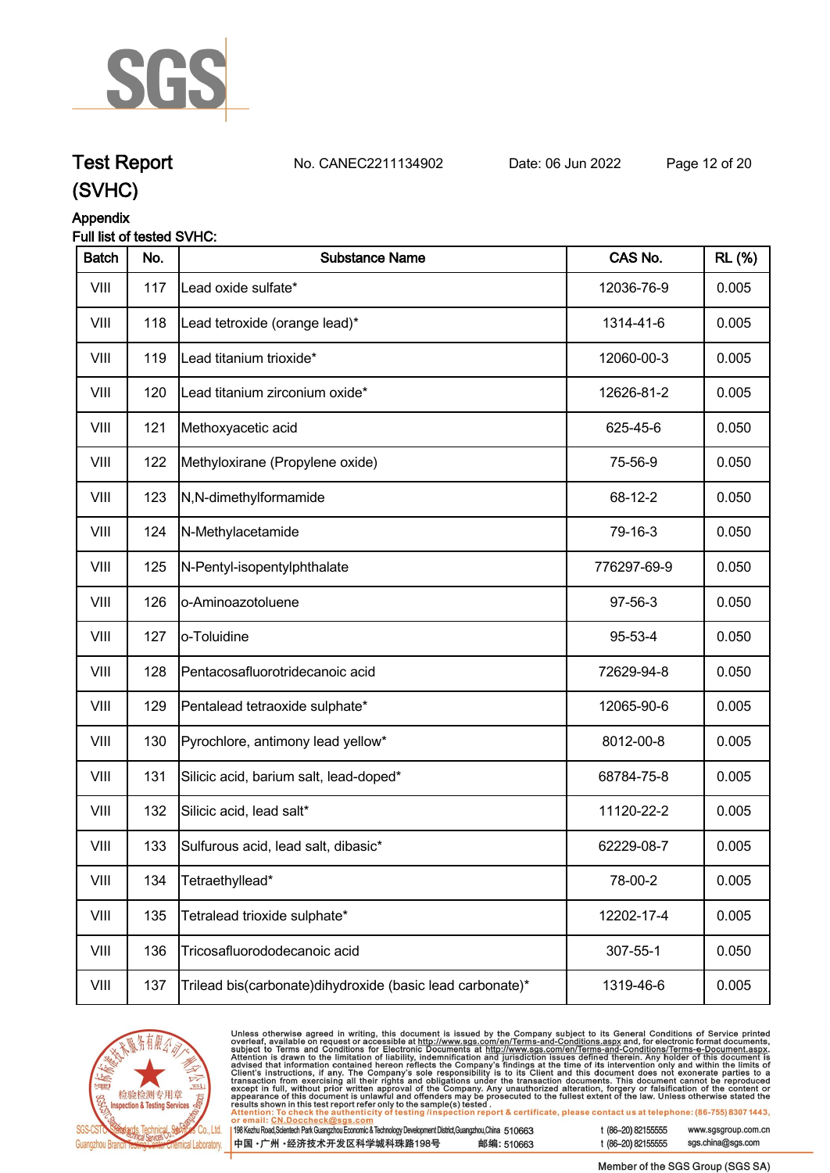

### **Test Report. No. CANEC2211134902 . Date: 06 Jun 2022. Page 12 of 20.**

### **Appendix**

#### **Full list of tested SVHC:**

| <b>Batch</b> | No. | <b>Substance Name</b>                                     | CAS No.     | <b>RL</b> (%) |
|--------------|-----|-----------------------------------------------------------|-------------|---------------|
| VIII         | 117 | Lead oxide sulfate*                                       | 12036-76-9  | 0.005         |
| VIII         | 118 | Lead tetroxide (orange lead)*                             | 1314-41-6   | 0.005         |
| VIII         | 119 | Lead titanium trioxide*                                   | 12060-00-3  | 0.005         |
| VIII         | 120 | Lead titanium zirconium oxide*                            | 12626-81-2  | 0.005         |
| VIII         | 121 | Methoxyacetic acid                                        | 625-45-6    | 0.050         |
| VIII         | 122 | Methyloxirane (Propylene oxide)                           | 75-56-9     | 0.050         |
| VIII         | 123 | N,N-dimethylformamide                                     | 68-12-2     | 0.050         |
| VIII         | 124 | N-Methylacetamide                                         | 79-16-3     | 0.050         |
| VIII         | 125 | N-Pentyl-isopentylphthalate                               | 776297-69-9 | 0.050         |
| VIII         | 126 | o-Aminoazotoluene                                         | 97-56-3     | 0.050         |
| VIII         | 127 | o-Toluidine                                               | 95-53-4     | 0.050         |
| VIII         | 128 | Pentacosafluorotridecanoic acid                           | 72629-94-8  | 0.050         |
| VIII         | 129 | Pentalead tetraoxide sulphate*                            | 12065-90-6  | 0.005         |
| VIII         | 130 | Pyrochlore, antimony lead yellow*                         | 8012-00-8   | 0.005         |
| VIII         | 131 | Silicic acid, barium salt, lead-doped*                    | 68784-75-8  | 0.005         |
| VIII         | 132 | Silicic acid, lead salt*                                  | 11120-22-2  | 0.005         |
| VIII         | 133 | Sulfurous acid, lead salt, dibasic*                       | 62229-08-7  | 0.005         |
| VIII         | 134 | Tetraethyllead*                                           | 78-00-2     | 0.005         |
| VIII         | 135 | Tetralead trioxide sulphate*                              | 12202-17-4  | 0.005         |
| VIII         | 136 | Tricosafluorododecanoic acid                              | 307-55-1    | 0.050         |
| VIII         | 137 | Trilead bis(carbonate)dihydroxide (basic lead carbonate)* | 1319-46-6   | 0.005         |



Unless otherwise agreed in writing, this document is issued by the Company subject to its General Conditions of Service printed<br>overleaf, available on request or accessible at http://www.sgs.com/en/Terms-and-Conditions.asp  $\overline{1}$ t (86-20) 82155555

| 198 Kezhu Road, Scientech Park Guangzhou Economic & Technology Development District, Guangzhou, China 510663 |            |
|--------------------------------------------------------------------------------------------------------------|------------|
| 中国・广州・经济技术开发区科学城科珠路198号                                                                                      | 邮编: 510663 |

www.sgsgroup.com.cn sgs.china@sgs.com t (86-20) 82155555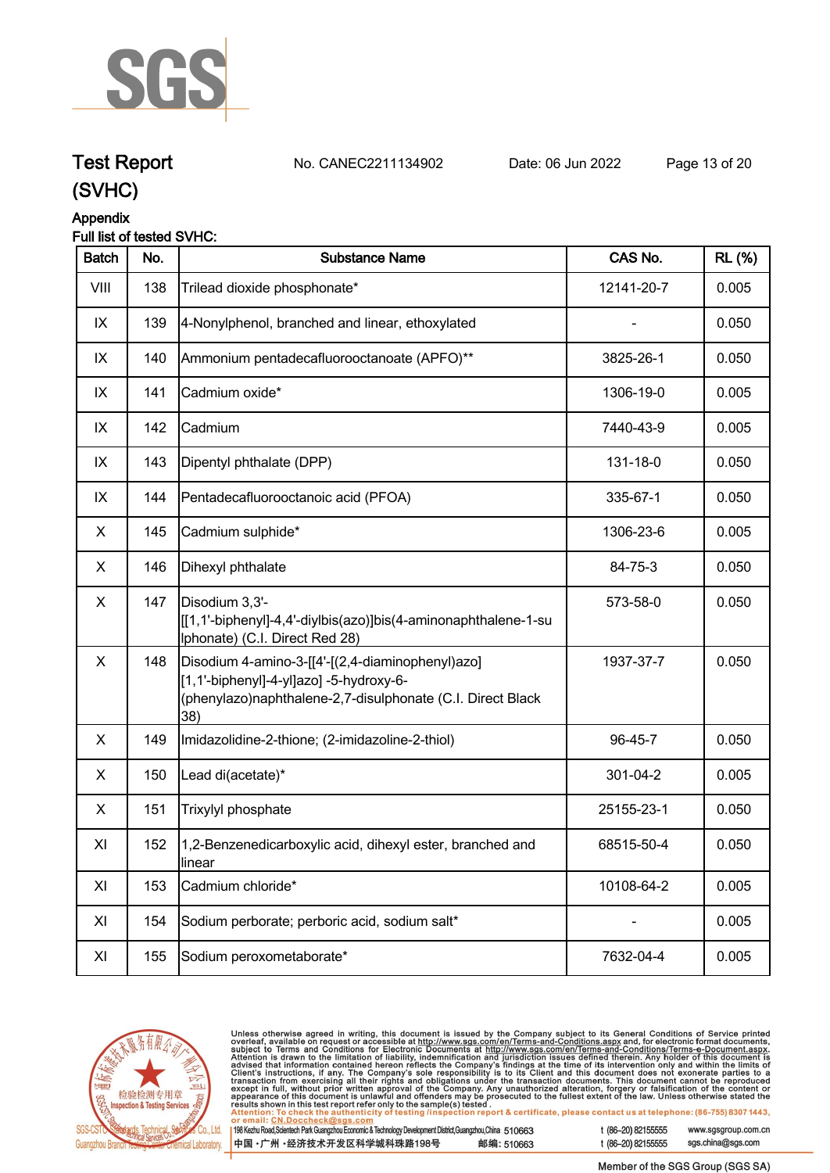

## **Test Report. No. CANEC2211134902 . Date: 06 Jun 2022. Page 13 of 20.**

**(SVHC)**

### **Appendix**

#### **Full list of tested SVHC:**

| <b>Batch</b>   | No. | <b>Substance Name</b>                                                                                                                                            | CAS No.    | <b>RL</b> (%) |
|----------------|-----|------------------------------------------------------------------------------------------------------------------------------------------------------------------|------------|---------------|
| VIII           | 138 | Trilead dioxide phosphonate*                                                                                                                                     | 12141-20-7 | 0.005         |
| IX             | 139 | 4-Nonylphenol, branched and linear, ethoxylated                                                                                                                  |            | 0.050         |
| IX             | 140 | Ammonium pentadecafluorooctanoate (APFO)**                                                                                                                       | 3825-26-1  | 0.050         |
| IX             | 141 | Cadmium oxide*                                                                                                                                                   | 1306-19-0  | 0.005         |
| IX             | 142 | Cadmium                                                                                                                                                          | 7440-43-9  | 0.005         |
| IX             | 143 | Dipentyl phthalate (DPP)                                                                                                                                         | 131-18-0   | 0.050         |
| IX             | 144 | Pentadecafluorooctanoic acid (PFOA)                                                                                                                              | 335-67-1   | 0.050         |
| X              | 145 | Cadmium sulphide*                                                                                                                                                | 1306-23-6  | 0.005         |
| X              | 146 | Dihexyl phthalate                                                                                                                                                | 84-75-3    | 0.050         |
| $\pmb{\times}$ | 147 | Disodium 3,3'-<br>[[1,1'-biphenyl]-4,4'-diylbis(azo)]bis(4-aminonaphthalene-1-su<br>Iphonate) (C.I. Direct Red 28)                                               | 573-58-0   | 0.050         |
| X              | 148 | Disodium 4-amino-3-[[4'-[(2,4-diaminophenyl)azo]<br>[1,1'-biphenyl]-4-yl]azo] -5-hydroxy-6-<br>(phenylazo)naphthalene-2,7-disulphonate (C.I. Direct Black<br>38) | 1937-37-7  | 0.050         |
| X              | 149 | Imidazolidine-2-thione; (2-imidazoline-2-thiol)                                                                                                                  | 96-45-7    | 0.050         |
| X              | 150 | Lead di(acetate)*                                                                                                                                                | 301-04-2   | 0.005         |
| X              | 151 | Trixylyl phosphate                                                                                                                                               | 25155-23-1 | 0.050         |
| XI             | 152 | 1,2-Benzenedicarboxylic acid, dihexyl ester, branched and<br>llinear                                                                                             | 68515-50-4 | 0.050         |
| XI             | 153 | Cadmium chloride*                                                                                                                                                | 10108-64-2 | 0.005         |
| XI             | 154 | Sodium perborate; perboric acid, sodium salt*                                                                                                                    |            | 0.005         |
| XI             | 155 | Sodium peroxometaborate*                                                                                                                                         | 7632-04-4  | 0.005         |



Unless otherwise agreed in writing, this document is issued by the Company subject to its General Conditions of Service printed<br>overleaf, available on request or accessible at <u>http://www.sgs.com/en/Terms-and-Conditions.a</u>

| 198 Kezhu Road,Scientech Park Guangzhou Economic & Technology Development District,Guangzhou,China 510663 |            |
|-----------------------------------------------------------------------------------------------------------|------------|
| 中国 •广州 •经济技术开发区科学城科珠路198号                                                                                 | 邮编: 510663 |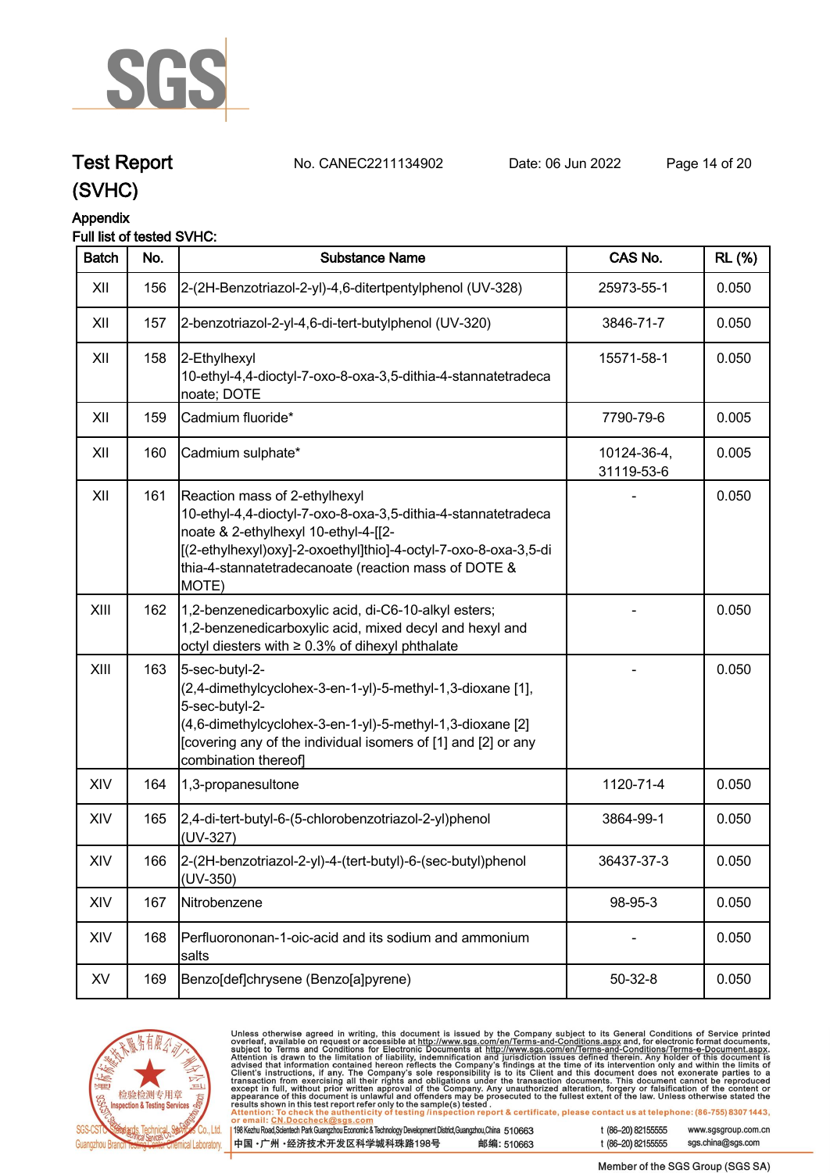

### **Test Report. No. CANEC2211134902 . Date: 06 Jun 2022. Page 14 of 20.**

**(SVHC)**

### **Appendix**

#### **Full list of tested SVHC:**

| <b>Batch</b> | No. | <b>Substance Name</b>                                                                                                                                                                                                                                                      | CAS No.                   | <b>RL</b> (%) |
|--------------|-----|----------------------------------------------------------------------------------------------------------------------------------------------------------------------------------------------------------------------------------------------------------------------------|---------------------------|---------------|
| XII          | 156 | 2-(2H-Benzotriazol-2-yl)-4,6-ditertpentylphenol (UV-328)                                                                                                                                                                                                                   | 25973-55-1                | 0.050         |
| XII          | 157 | 2-benzotriazol-2-yl-4,6-di-tert-butylphenol (UV-320)                                                                                                                                                                                                                       | 3846-71-7                 | 0.050         |
| XII          | 158 | 2-Ethylhexyl<br>10-ethyl-4,4-dioctyl-7-oxo-8-oxa-3,5-dithia-4-stannatetradeca<br>noate; DOTE                                                                                                                                                                               | 15571-58-1                | 0.050         |
| XII          | 159 | Cadmium fluoride*                                                                                                                                                                                                                                                          | 7790-79-6                 | 0.005         |
| XII          | 160 | Cadmium sulphate*                                                                                                                                                                                                                                                          | 10124-36-4,<br>31119-53-6 | 0.005         |
| XII          | 161 | Reaction mass of 2-ethylhexyl<br>10-ethyl-4,4-dioctyl-7-oxo-8-oxa-3,5-dithia-4-stannatetradeca<br>noate & 2-ethylhexyl 10-ethyl-4-[[2-<br>[(2-ethylhexyl)oxy]-2-oxoethyl]thio]-4-octyl-7-oxo-8-oxa-3,5-di<br>thia-4-stannatetradecanoate (reaction mass of DOTE &<br>MOTE) |                           | 0.050         |
| XIII         | 162 | 1,2-benzenedicarboxylic acid, di-C6-10-alkyl esters;<br>1,2-benzenedicarboxylic acid, mixed decyl and hexyl and<br>octyl diesters with ≥ 0.3% of dihexyl phthalate                                                                                                         |                           | 0.050         |
| XIII         | 163 | 5-sec-butyl-2-<br>(2,4-dimethylcyclohex-3-en-1-yl)-5-methyl-1,3-dioxane [1],<br>5-sec-butyl-2-<br>(4,6-dimethylcyclohex-3-en-1-yl)-5-methyl-1,3-dioxane [2]<br>[covering any of the individual isomers of [1] and [2] or any<br>combination thereof]                       |                           | 0.050         |
| XIV          | 164 | 1,3-propanesultone                                                                                                                                                                                                                                                         | 1120-71-4                 | 0.050         |
| XIV          | 165 | 2,4-di-tert-butyl-6-(5-chlorobenzotriazol-2-yl)phenol<br>(UV-327)                                                                                                                                                                                                          | 3864-99-1                 | 0.050         |
| XIV          | 166 | 2-(2H-benzotriazol-2-yl)-4-(tert-butyl)-6-(sec-butyl)phenol<br>$(UV-350)$                                                                                                                                                                                                  | 36437-37-3                | 0.050         |
| XIV          | 167 | Nitrobenzene                                                                                                                                                                                                                                                               | 98-95-3                   | 0.050         |
| XIV          | 168 | Perfluorononan-1-oic-acid and its sodium and ammonium<br>salts                                                                                                                                                                                                             |                           | 0.050         |
| XV           | 169 | Benzo[def]chrysene (Benzo[a]pyrene)                                                                                                                                                                                                                                        | $50 - 32 - 8$             | 0.050         |



Unless otherwise agreed in writing, this document is issued by the Company subject to its General Conditions of Service printed<br>overleaf, available on request or accessible at <u>http://www.sgs.com/en/Terms-and-Conditions.a</u>  $\overline{119}$ 

| 198 Kezhu Road,Scientech Park Guangzhou Economic & Technology Development District,Guangzhou,China 510663 |            |
|-----------------------------------------------------------------------------------------------------------|------------|
| 【中国 •广州 •经济技术开发区科学城科珠路198号 ↓                                                                              | 邮编: 510663 |

t (86-20) 82155555 www.sgsgroup.com.cn

t (86-20) 82155555

sgs.china@sgs.com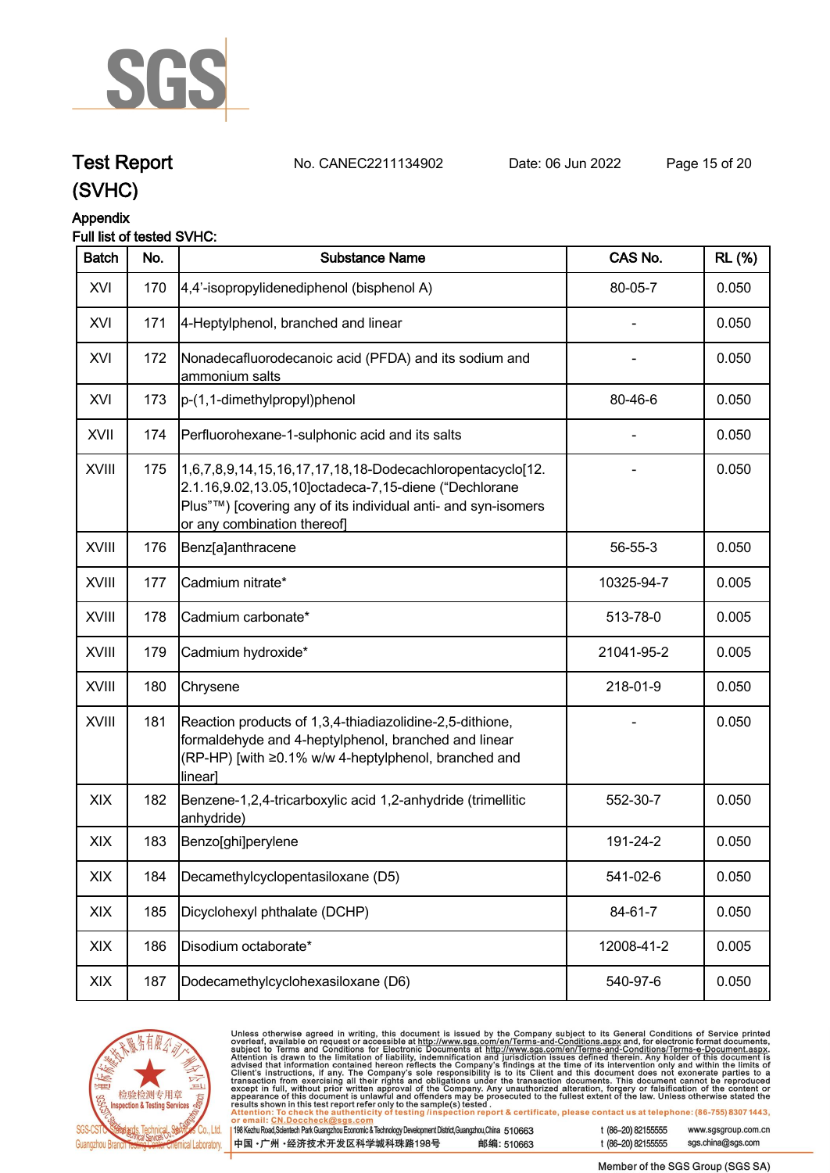

### **Test Report. No. CANEC2211134902 . Date: 06 Jun 2022. Page 15 of 20.**

**(SVHC)**

#### **Appendix**

#### **Full list of tested SVHC:**

| <b>Batch</b> | No. | <b>Substance Name</b>                                                                                                                                                                                              | CAS No.    | <b>RL</b> (%) |
|--------------|-----|--------------------------------------------------------------------------------------------------------------------------------------------------------------------------------------------------------------------|------------|---------------|
| XVI          | 170 | 4,4'-isopropylidenediphenol (bisphenol A)                                                                                                                                                                          | 80-05-7    | 0.050         |
| XVI          | 171 | 4-Heptylphenol, branched and linear                                                                                                                                                                                |            | 0.050         |
| XVI          | 172 | Nonadecafluorodecanoic acid (PFDA) and its sodium and<br>ammonium salts                                                                                                                                            |            | 0.050         |
| XVI          | 173 | p-(1,1-dimethylpropyl)phenol                                                                                                                                                                                       | 80-46-6    | 0.050         |
| XVII         | 174 | Perfluorohexane-1-sulphonic acid and its salts                                                                                                                                                                     |            | 0.050         |
| XVIII        | 175 | 1,6,7,8,9,14,15,16,17,17,18,18-Dodecachloropentacyclo[12.<br>2.1.16,9.02,13.05,10]octadeca-7,15-diene ("Dechlorane<br>Plus"™) [covering any of its individual anti- and syn-isomers<br>or any combination thereof] |            | 0.050         |
| <b>XVIII</b> | 176 | Benz[a]anthracene                                                                                                                                                                                                  | 56-55-3    | 0.050         |
| <b>XVIII</b> | 177 | Cadmium nitrate*                                                                                                                                                                                                   | 10325-94-7 | 0.005         |
| XVIII        | 178 | Cadmium carbonate*                                                                                                                                                                                                 | 513-78-0   | 0.005         |
| XVIII        | 179 | Cadmium hydroxide*                                                                                                                                                                                                 | 21041-95-2 | 0.005         |
| <b>XVIII</b> | 180 | Chrysene                                                                                                                                                                                                           | 218-01-9   | 0.050         |
| <b>XVIII</b> | 181 | Reaction products of 1,3,4-thiadiazolidine-2,5-dithione,<br>formaldehyde and 4-heptylphenol, branched and linear<br>(RP-HP) [with ≥0.1% w/w 4-heptylphenol, branched and<br>linear]                                |            | 0.050         |
| XIX          | 182 | Benzene-1,2,4-tricarboxylic acid 1,2-anhydride (trimellitic<br>anhydride)                                                                                                                                          | 552-30-7   | 0.050         |
| XIX          | 183 | Benzo[ghi]perylene                                                                                                                                                                                                 | 191-24-2   | 0.050         |
| XIX          | 184 | Decamethylcyclopentasiloxane (D5)                                                                                                                                                                                  | 541-02-6   | 0.050         |
| XIX          | 185 | Dicyclohexyl phthalate (DCHP)                                                                                                                                                                                      | 84-61-7    | 0.050         |
| XIX          | 186 | Disodium octaborate*                                                                                                                                                                                               | 12008-41-2 | 0.005         |
| XIX          | 187 | Dodecamethylcyclohexasiloxane (D6)                                                                                                                                                                                 | 540-97-6   | 0.050         |



Unless otherwise agreed in writing, this document is issued by the Company subject to its General Conditions of Service printed<br>overleaf, available on request or accessible at http://www.sgs.com/en/Terms-and-Conditions.as t (86-20) 82155555 www.sgsgroup.com.cn

| 198 Kezhu Road,Scientech Park Guangzhou Economic & Technology Development District,Guangzhou,China 510663 |            |
|-----------------------------------------------------------------------------------------------------------|------------|
| 中国 •广州 •经济技术开发区科学城科珠路198号                                                                                 | 邮编: 510663 |

sgs.china@sgs.com t (86-20) 82155555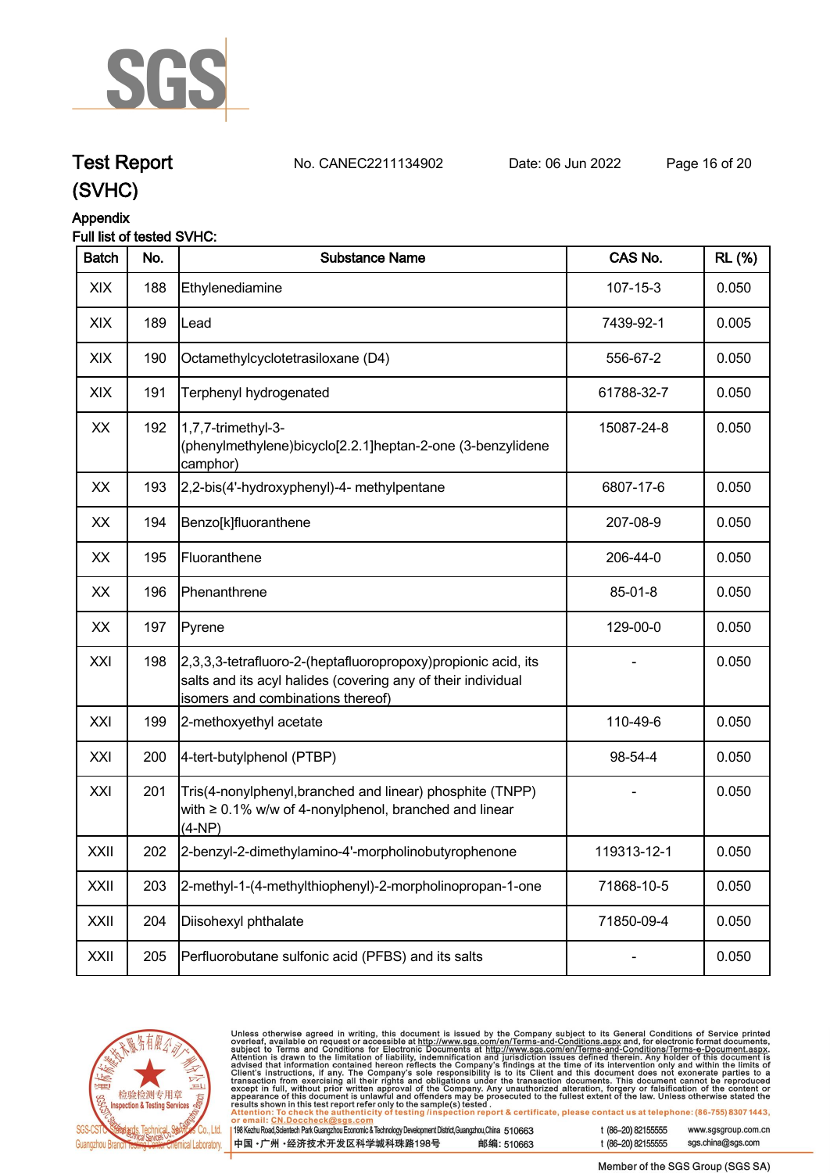

### **Test Report. No. CANEC2211134902 . Date: 06 Jun 2022. Page 16 of 20.**

**(SVHC)**

## **Appendix**

#### **Full list of tested SVHC:**

| <b>Batch</b> | No. | <b>Substance Name</b>                                                                                                                                                | CAS No.        | <b>RL (%)</b> |
|--------------|-----|----------------------------------------------------------------------------------------------------------------------------------------------------------------------|----------------|---------------|
| XIX          | 188 | Ethylenediamine                                                                                                                                                      | $107 - 15 - 3$ | 0.050         |
| XIX          | 189 | Lead                                                                                                                                                                 | 7439-92-1      | 0.005         |
| XIX          | 190 | Octamethylcyclotetrasiloxane (D4)                                                                                                                                    | 556-67-2       | 0.050         |
| XIX          | 191 | Terphenyl hydrogenated                                                                                                                                               | 61788-32-7     | 0.050         |
| XX           | 192 | 1,7,7-trimethyl-3-<br>(phenylmethylene)bicyclo[2.2.1]heptan-2-one (3-benzylidene<br>camphor)                                                                         | 15087-24-8     | 0.050         |
| XX           | 193 | 2,2-bis(4'-hydroxyphenyl)-4- methylpentane                                                                                                                           | 6807-17-6      | 0.050         |
| XX           | 194 | Benzo[k]fluoranthene                                                                                                                                                 | 207-08-9       | 0.050         |
| XX           | 195 | Fluoranthene                                                                                                                                                         | 206-44-0       | 0.050         |
| XX           | 196 | Phenanthrene                                                                                                                                                         | 85-01-8        | 0.050         |
| XX           | 197 | Pyrene                                                                                                                                                               | 129-00-0       | 0.050         |
| XXI          | 198 | [2,3,3,3-tetrafluoro-2-(heptafluoropropoxy) propionic acid, its<br>salts and its acyl halides (covering any of their individual<br>isomers and combinations thereof) |                | 0.050         |
| XXI          | 199 | 2-methoxyethyl acetate                                                                                                                                               | 110-49-6       | 0.050         |
| XXI          | 200 | 4-tert-butylphenol (PTBP)                                                                                                                                            | 98-54-4        | 0.050         |
| XXI          | 201 | Tris(4-nonylphenyl, branched and linear) phosphite (TNPP)<br>with $\geq 0.1\%$ w/w of 4-nonylphenol, branched and linear<br>$(4-NP)$                                 |                | 0.050         |
| XXII         | 202 | 2-benzyl-2-dimethylamino-4'-morpholinobutyrophenone                                                                                                                  | 119313-12-1    | 0.050         |
| XXII         | 203 | 2-methyl-1-(4-methylthiophenyl)-2-morpholinopropan-1-one                                                                                                             | 71868-10-5     | 0.050         |
| XXII         | 204 | Diisohexyl phthalate                                                                                                                                                 | 71850-09-4     | 0.050         |
| XXII         | 205 | Perfluorobutane sulfonic acid (PFBS) and its salts                                                                                                                   |                | 0.050         |



Unless otherwise agreed in writing, this document is issued by the Company subject to its General Conditions of Service printed<br>overleaf, available on request or accessible at http://www.sgs.com/en/Terms-and-Conditions.as

| 198 Kezhu Road,Scientech Park Guangzhou Economic & Technology Development District,Guangzhou,China 510663 |            |
|-----------------------------------------------------------------------------------------------------------|------------|
| 中国・广州 ・经济技术开发区科学城科珠路198号                                                                                  | 邮编: 510663 |

sgs.china@sgs.com t (86-20) 82155555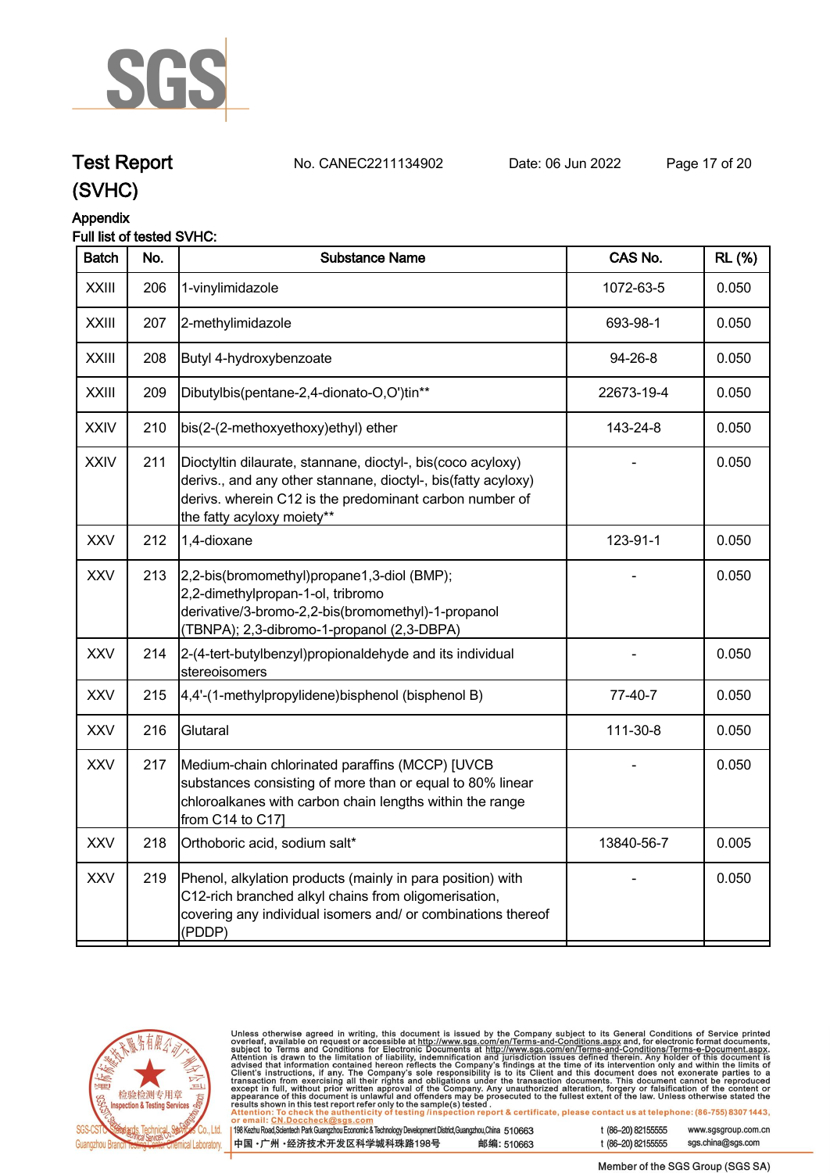

## **Test Report. No. CANEC2211134902 . Date: 06 Jun 2022. Page 17 of 20.**

**(SVHC)**

#### **Appendix**

#### **Full list of tested SVHC:**

| <b>Batch</b> | No. | <b>Substance Name</b>                                                                                                                                                                                                 | CAS No.    | <b>RL</b> (%) |
|--------------|-----|-----------------------------------------------------------------------------------------------------------------------------------------------------------------------------------------------------------------------|------------|---------------|
| <b>XXIII</b> | 206 | 1-vinylimidazole                                                                                                                                                                                                      | 1072-63-5  | 0.050         |
| <b>XXIII</b> | 207 | 2-methylimidazole                                                                                                                                                                                                     | 693-98-1   | 0.050         |
| <b>XXIII</b> | 208 | Butyl 4-hydroxybenzoate                                                                                                                                                                                               | 94-26-8    | 0.050         |
| <b>XXIII</b> | 209 | Dibutylbis(pentane-2,4-dionato-O,O')tin**                                                                                                                                                                             | 22673-19-4 | 0.050         |
| <b>XXIV</b>  | 210 | bis(2-(2-methoxyethoxy)ethyl) ether                                                                                                                                                                                   | 143-24-8   | 0.050         |
| <b>XXIV</b>  | 211 | Dioctyltin dilaurate, stannane, dioctyl-, bis(coco acyloxy)<br>derivs., and any other stannane, dioctyl-, bis(fatty acyloxy)<br>derivs. wherein C12 is the predominant carbon number of<br>the fatty acyloxy moiety** |            | 0.050         |
| <b>XXV</b>   | 212 | 1,4-dioxane                                                                                                                                                                                                           | 123-91-1   | 0.050         |
| <b>XXV</b>   | 213 | 2,2-bis(bromomethyl)propane1,3-diol (BMP);<br>2,2-dimethylpropan-1-ol, tribromo<br>derivative/3-bromo-2,2-bis(bromomethyl)-1-propanol<br>(TBNPA); 2,3-dibromo-1-propanol (2,3-DBPA)                                   |            | 0.050         |
| <b>XXV</b>   | 214 | 2-(4-tert-butylbenzyl) propionaldehyde and its individual<br>stereoisomers                                                                                                                                            |            | 0.050         |
| <b>XXV</b>   | 215 | 4,4'-(1-methylpropylidene)bisphenol (bisphenol B)                                                                                                                                                                     | 77-40-7    | 0.050         |
| <b>XXV</b>   | 216 | Glutaral                                                                                                                                                                                                              | 111-30-8   | 0.050         |
| <b>XXV</b>   | 217 | Medium-chain chlorinated paraffins (MCCP) [UVCB<br>substances consisting of more than or equal to 80% linear<br>chloroalkanes with carbon chain lengths within the range<br>from C14 to C17]                          |            | 0.050         |
| <b>XXV</b>   | 218 | Orthoboric acid, sodium salt*                                                                                                                                                                                         | 13840-56-7 | 0.005         |
| <b>XXV</b>   | 219 | Phenol, alkylation products (mainly in para position) with<br>C12-rich branched alkyl chains from oligomerisation,<br>covering any individual isomers and/ or combinations thereof<br>(PDDP)                          |            | 0.050         |
|              |     |                                                                                                                                                                                                                       |            |               |



Unless otherwise agreed in writing, this document is issued by the Company subject to its General Conditions of Service printed overleaf, available on request or accessible at http://www.sgs.com/en/Terms-and-Conditions.as

198 Kezhu Road, Scientech Park Guangzhou Economic & Technology Development District, Guangzhou, China 510663 中国·广州·经济技术开发区科学城科珠路198号 邮编: 510663 t (86-20) 82155555

t (86-20) 82155555

www.sgsgroup.com.cn sgs.china@sgs.com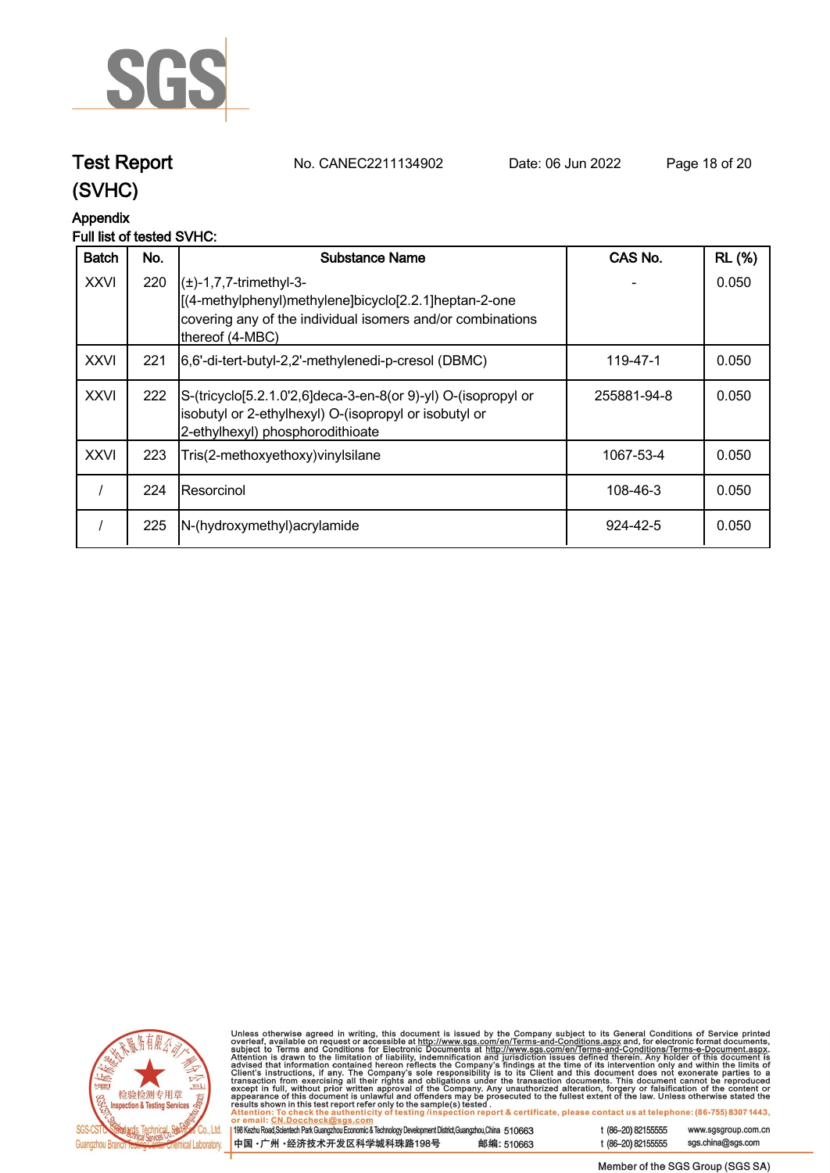

**Test Report. No. CANEC2211134902 . Date: 06 Jun 2022. Page 18 of 20.**

### **(SVHC)**

#### **Appendix**

#### **Full list of tested SVHC:**

| <b>Batch</b> | No. | Substance Name                                                                                                                                                                     | CAS No.     | <b>RL (%)</b> |
|--------------|-----|------------------------------------------------------------------------------------------------------------------------------------------------------------------------------------|-------------|---------------|
| <b>XXVI</b>  | 220 | $\left( \pm \right)$ -1,7,7-trimethyl-3-<br>[(4-methylphenyl)methylene]bicyclo[2.2.1]heptan-2-one<br>covering any of the individual isomers and/or combinations<br>thereof (4-MBC) |             | 0.050         |
| <b>XXVI</b>  | 221 | [6,6'-di-tert-butyl-2,2'-methylenedi-p-cresol (DBMC)                                                                                                                               | 119-47-1    | 0.050         |
| <b>XXVI</b>  | 222 | S-(tricyclo[5.2.1.0'2,6]deca-3-en-8(or 9)-yl) O-(isopropyl or<br>isobutyl or 2-ethylhexyl) O-(isopropyl or isobutyl or<br>2-ethylhexyl) phosphorodithioate                         | 255881-94-8 | 0.050         |
| <b>XXVI</b>  | 223 | Tris(2-methoxyethoxy) vinyl silane                                                                                                                                                 | 1067-53-4   | 0.050         |
|              | 224 | IResorcinol                                                                                                                                                                        | 108-46-3    | 0.050         |
|              | 225 | N-(hydroxymethyl) acrylamide                                                                                                                                                       | 924-42-5    | 0.050         |



Unless otherwise agreed in writing, this document is issued by the Company subject to its General Conditions of Service printed<br>overleaf, available on request or accessible at http://www.sgs.com/en/Terms-and-Conditions.as

| 198 Kezhu Road, Scientech Park Guangzhou Economic & Technology Development District, Guangzhou, China 510663 |            |
|--------------------------------------------------------------------------------------------------------------|------------|
| 中国 •广州 •经济技术开发区科学城科珠路198号                                                                                    | 邮编: 510663 |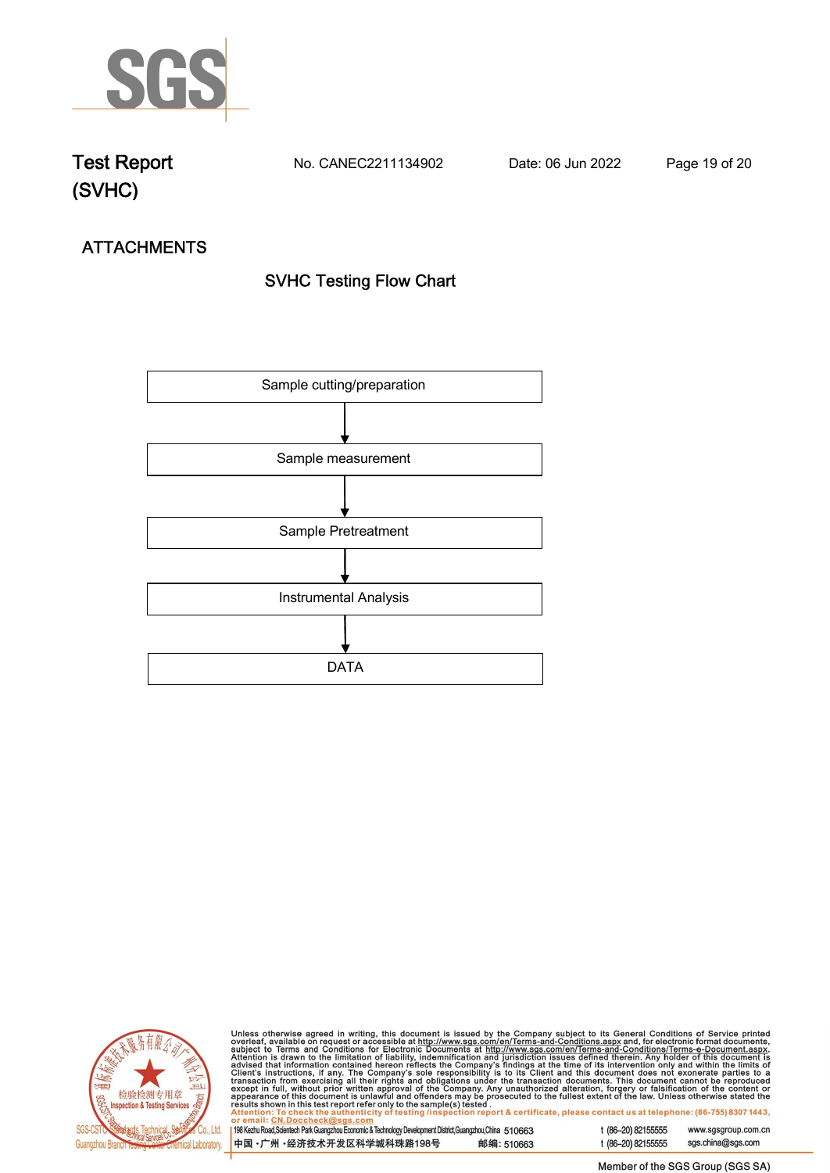

**Test Report. No. CANEC2211134902 . Date: 06 Jun 2022. Page 19 of 20.**

# **ATTACHMENTS SVHC Testing Flow Chart**





Unless otherwise agreed in writing, this document is issued by the Company subject to its General Conditions of Service printed<br>overleaf, available on request or accessible at http://www.sgs.com/en/Terms-and-Conditions.as

| 198 Kezhu Road, Scientech Park Guangzhou Economic & Technology Development District, Guangzhou, China 510663 |            |
|--------------------------------------------------------------------------------------------------------------|------------|
| 中国 •广州 •经济技术开发区科学城科珠路198号                                                                                    | 邮编: 510663 |

t (86-20) 82155555 www.sgsgroup.com.cn t (86-20) 82155555 sgs.china@sgs.com